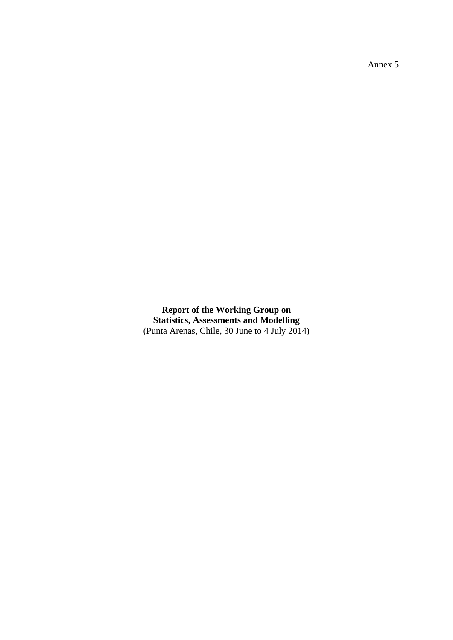Annex 5

**Report of the Working Group on Statistics, Assessments and Modelling** (Punta Arenas, Chile, 30 June to 4 July 2014)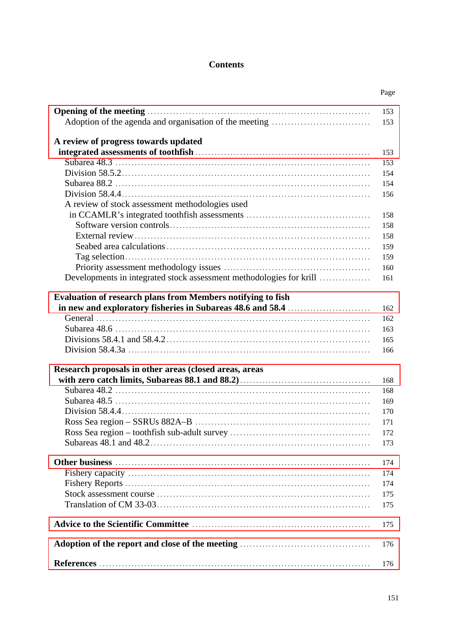# **Contents**

|                                                                                                                                                                                                                                | Page |
|--------------------------------------------------------------------------------------------------------------------------------------------------------------------------------------------------------------------------------|------|
| Opening of the meeting measures are all the meeting of the meeting measures and the meeting measures of the meeting measures of the meeting measures of the meeting measures of the meeting measures of the meeting measures o | 153  |
|                                                                                                                                                                                                                                | 153  |
| A review of progress towards updated                                                                                                                                                                                           |      |
|                                                                                                                                                                                                                                | 153  |
|                                                                                                                                                                                                                                | 153  |
|                                                                                                                                                                                                                                | 154  |
|                                                                                                                                                                                                                                | 154  |
|                                                                                                                                                                                                                                | 156  |
| A review of stock assessment methodologies used                                                                                                                                                                                |      |
|                                                                                                                                                                                                                                | 158  |
|                                                                                                                                                                                                                                | 158  |
|                                                                                                                                                                                                                                | 158  |
|                                                                                                                                                                                                                                | 159  |
|                                                                                                                                                                                                                                | 159  |
|                                                                                                                                                                                                                                | 160  |
| Developments in integrated stock assessment methodologies for krill                                                                                                                                                            | 161  |
| <b>Evaluation of research plans from Members notifying to fish</b>                                                                                                                                                             |      |
|                                                                                                                                                                                                                                | 162  |
|                                                                                                                                                                                                                                | 162  |
|                                                                                                                                                                                                                                | 163  |
|                                                                                                                                                                                                                                | 165  |
|                                                                                                                                                                                                                                | 166  |
| Research proposals in other areas (closed areas, areas                                                                                                                                                                         |      |
|                                                                                                                                                                                                                                | 168  |
|                                                                                                                                                                                                                                | 168  |
|                                                                                                                                                                                                                                | 169  |
|                                                                                                                                                                                                                                | 170  |
|                                                                                                                                                                                                                                | 171  |
|                                                                                                                                                                                                                                | 172  |
|                                                                                                                                                                                                                                | 173  |
|                                                                                                                                                                                                                                | 174  |
|                                                                                                                                                                                                                                | 174  |
|                                                                                                                                                                                                                                | 174  |
|                                                                                                                                                                                                                                | 175  |
|                                                                                                                                                                                                                                | 175  |
|                                                                                                                                                                                                                                | 175  |
|                                                                                                                                                                                                                                | 176  |
|                                                                                                                                                                                                                                | 176  |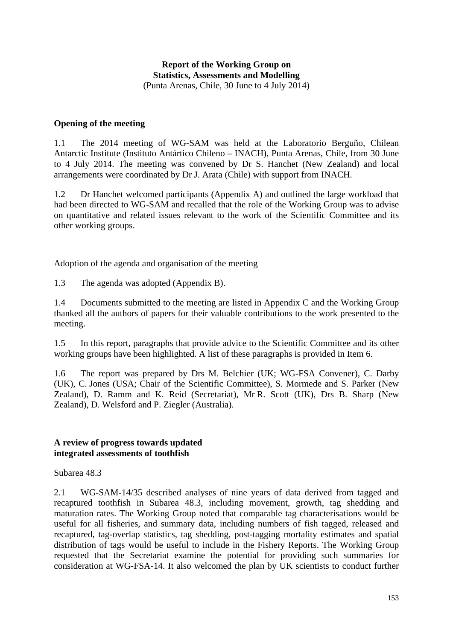### **Report of the Working Group on Statistics, Assessments and Modelling** (Punta Arenas, Chile, 30 June to 4 July 2014)

#### <span id="page-4-0"></span>**Opening of the meeting**

1.1 The 2014 meeting of WG-SAM was held at the Laboratorio Berguño, Chilean Antarctic Institute (Instituto Antártico Chileno – INACH), Punta Arenas, Chile, from 30 June to 4 July 2014. The meeting was convened by Dr S. Hanchet (New Zealand) and local arrangements were coordinated by Dr J. Arata (Chile) with support from INACH.

1.2 Dr Hanchet welcomed participants (Appendix A) and outlined the large workload that had been directed to WG-SAM and recalled that the role of the Working Group was to advise on quantitative and related issues relevant to the work of the Scientific Committee and its other working groups.

Adoption of the agenda and organisation of the meeting

1.3 The agenda was adopted (Appendix B).

1.4 Documents submitted to the meeting are listed in Appendix C and the Working Group thanked all the authors of papers for their valuable contributions to the work presented to the meeting.

1.5 In this report, paragraphs that provide advice to the Scientific Committee and its other working groups have been highlighted. A list of these paragraphs is provided in Item 6.

1.6 The report was prepared by Drs M. Belchier (UK; WG-FSA Convener), C. Darby (UK), C. Jones (USA; Chair of the Scientific Committee), S. Mormede and S. Parker (New Zealand), D. Ramm and K. Reid (Secretariat), Mr R. Scott (UK), Drs B. Sharp (New Zealand), D. Welsford and P. Ziegler (Australia).

#### **A review of progress towards updated integrated assessments of toothfish**

Subarea 48.3

2.1 WG-SAM-14/35 described analyses of nine years of data derived from tagged and recaptured toothfish in Subarea 48.3, including movement, growth, tag shedding and maturation rates. The Working Group noted that comparable tag characterisations would be useful for all fisheries, and summary data, including numbers of fish tagged, released and recaptured, tag-overlap statistics, tag shedding, post-tagging mortality estimates and spatial distribution of tags would be useful to include in the Fishery Reports. The Working Group requested that the Secretariat examine the potential for providing such summaries for consideration at WG-FSA-14. It also welcomed the plan by UK scientists to conduct further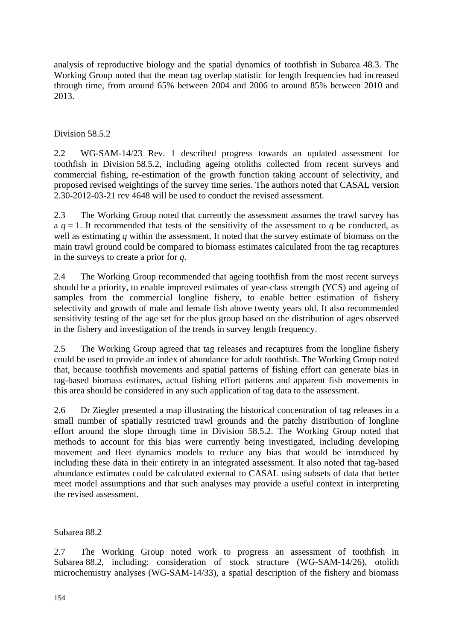analysis of reproductive biology and the spatial dynamics of toothfish in Subarea 48.3. The Working Group noted that the mean tag overlap statistic for length frequencies had increased through time, from around 65% between 2004 and 2006 to around 85% between 2010 and 2013.

# Division 58.5.2

2.2 WG-SAM-14/23 Rev. 1 described progress towards an updated assessment for toothfish in Division 58.5.2, including ageing otoliths collected from recent surveys and commercial fishing, re-estimation of the growth function taking account of selectivity, and proposed revised weightings of the survey time series. The authors noted that CASAL version 2.30-2012-03-21 rev 4648 will be used to conduct the revised assessment.

2.3 The Working Group noted that currently the assessment assumes the trawl survey has a  $q = 1$ . It recommended that tests of the sensitivity of the assessment to q be conducted, as well as estimating *q* within the assessment. It noted that the survey estimate of biomass on the main trawl ground could be compared to biomass estimates calculated from the tag recaptures in the surveys to create a prior for *q*.

2.4 The Working Group recommended that ageing toothfish from the most recent surveys should be a priority, to enable improved estimates of year-class strength (YCS) and ageing of samples from the commercial longline fishery, to enable better estimation of fishery selectivity and growth of male and female fish above twenty years old. It also recommended sensitivity testing of the age set for the plus group based on the distribution of ages observed in the fishery and investigation of the trends in survey length frequency.

2.5 The Working Group agreed that tag releases and recaptures from the longline fishery could be used to provide an index of abundance for adult toothfish. The Working Group noted that, because toothfish movements and spatial patterns of fishing effort can generate bias in tag-based biomass estimates, actual fishing effort patterns and apparent fish movements in this area should be considered in any such application of tag data to the assessment.

2.6 Dr Ziegler presented a map illustrating the historical concentration of tag releases in a small number of spatially restricted trawl grounds and the patchy distribution of longline effort around the slope through time in Division 58.5.2. The Working Group noted that methods to account for this bias were currently being investigated, including developing movement and fleet dynamics models to reduce any bias that would be introduced by including these data in their entirety in an integrated assessment. It also noted that tag-based abundance estimates could be calculated external to CASAL using subsets of data that better meet model assumptions and that such analyses may provide a useful context in interpreting the revised assessment.

Subarea 88.2

2.7 The Working Group noted work to progress an assessment of toothfish in Subarea 88.2, including: consideration of stock structure (WG-SAM-14/26), otolith microchemistry analyses (WG-SAM-14/33), a spatial description of the fishery and biomass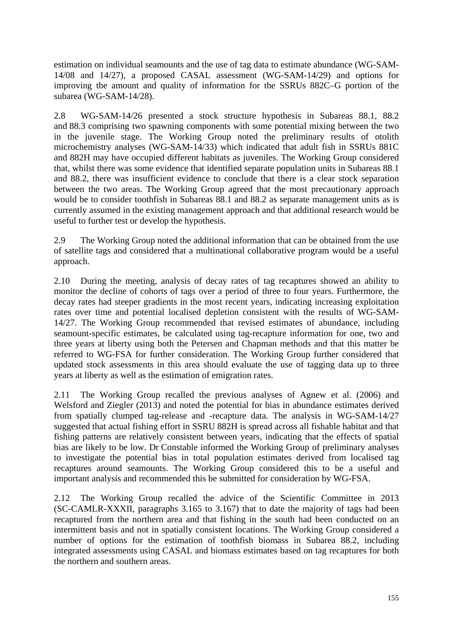estimation on individual seamounts and the use of tag data to estimate abundance (WG-SAM-14/08 and 14/27), a proposed CASAL assessment (WG-SAM-14/29) and options for improving the amount and quality of information for the SSRUs 882C–G portion of the subarea (WG-SAM-14/28).

2.8 WG-SAM-14/26 presented a stock structure hypothesis in Subareas 88.1, 88.2 and 88.3 comprising two spawning components with some potential mixing between the two in the juvenile stage. The Working Group noted the preliminary results of otolith microchemistry analyses (WG-SAM-14/33) which indicated that adult fish in SSRUs 881C and 882H may have occupied different habitats as juveniles. The Working Group considered that, whilst there was some evidence that identified separate population units in Subareas 88.1 and 88.2, there was insufficient evidence to conclude that there is a clear stock separation between the two areas. The Working Group agreed that the most precautionary approach would be to consider toothfish in Subareas 88.1 and 88.2 as separate management units as is currently assumed in the existing management approach and that additional research would be useful to further test or develop the hypothesis.

2.9 The Working Group noted the additional information that can be obtained from the use of satellite tags and considered that a multinational collaborative program would be a useful approach.

2.10 During the meeting, analysis of decay rates of tag recaptures showed an ability to monitor the decline of cohorts of tags over a period of three to four years. Furthermore, the decay rates had steeper gradients in the most recent years, indicating increasing exploitation rates over time and potential localised depletion consistent with the results of WG-SAM-14/27. The Working Group recommended that revised estimates of abundance, including seamount-specific estimates, be calculated using tag-recapture information for one, two and three years at liberty using both the Petersen and Chapman methods and that this matter be referred to WG-FSA for further consideration. The Working Group further considered that updated stock assessments in this area should evaluate the use of tagging data up to three years at liberty as well as the estimation of emigration rates.

2.11 The Working Group recalled the previous analyses of Agnew et al. (2006) and Welsford and Ziegler (2013) and noted the potential for bias in abundance estimates derived from spatially clumped tag-release and -recapture data. The analysis in WG-SAM-14/27 suggested that actual fishing effort in SSRU 882H is spread across all fishable habitat and that fishing patterns are relatively consistent between years, indicating that the effects of spatial bias are likely to be low. Dr Constable informed the Working Group of preliminary analyses to investigate the potential bias in total population estimates derived from localised tag recaptures around seamounts. The Working Group considered this to be a useful and important analysis and recommended this be submitted for consideration by WG-FSA.

2.12 The Working Group recalled the advice of the Scientific Committee in 2013 (SC-CAMLR-XXXII, paragraphs 3.165 to 3.167) that to date the majority of tags had been recaptured from the northern area and that fishing in the south had been conducted on an intermittent basis and not in spatially consistent locations. The Working Group considered a number of options for the estimation of toothfish biomass in Subarea 88.2, including integrated assessments using CASAL and biomass estimates based on tag recaptures for both the northern and southern areas.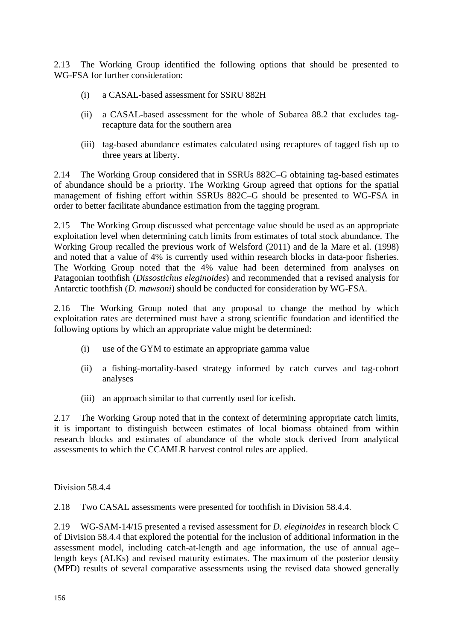2.13 The Working Group identified the following options that should be presented to WG-FSA for further consideration:

- (i) a CASAL-based assessment for SSRU 882H
- (ii) a CASAL-based assessment for the whole of Subarea 88.2 that excludes tagrecapture data for the southern area
- (iii) tag-based abundance estimates calculated using recaptures of tagged fish up to three years at liberty.

2.14 The Working Group considered that in SSRUs 882C–G obtaining tag-based estimates of abundance should be a priority. The Working Group agreed that options for the spatial management of fishing effort within SSRUs 882C–G should be presented to WG-FSA in order to better facilitate abundance estimation from the tagging program.

2.15 The Working Group discussed what percentage value should be used as an appropriate exploitation level when determining catch limits from estimates of total stock abundance. The Working Group recalled the previous work of Welsford (2011) and de la Mare et al. (1998) and noted that a value of 4% is currently used within research blocks in data-poor fisheries. The Working Group noted that the 4% value had been determined from analyses on Patagonian toothfish (*Dissostichus eleginoides*) and recommended that a revised analysis for Antarctic toothfish (*D. mawsoni*) should be conducted for consideration by WG-FSA.

2.16 The Working Group noted that any proposal to change the method by which exploitation rates are determined must have a strong scientific foundation and identified the following options by which an appropriate value might be determined:

- (i) use of the GYM to estimate an appropriate gamma value
- (ii) a fishing-mortality-based strategy informed by catch curves and tag-cohort analyses
- (iii) an approach similar to that currently used for icefish.

2.17 The Working Group noted that in the context of determining appropriate catch limits, it is important to distinguish between estimates of local biomass obtained from within research blocks and estimates of abundance of the whole stock derived from analytical assessments to which the CCAMLR harvest control rules are applied.

Division 58.4.4

2.18 Two CASAL assessments were presented for toothfish in Division 58.4.4.

2.19 WG-SAM-14/15 presented a revised assessment for *D. eleginoides* in research block C of Division 58.4.4 that explored the potential for the inclusion of additional information in the assessment model, including catch-at-length and age information, the use of annual age– length keys (ALKs) and revised maturity estimates. The maximum of the posterior density (MPD) results of several comparative assessments using the revised data showed generally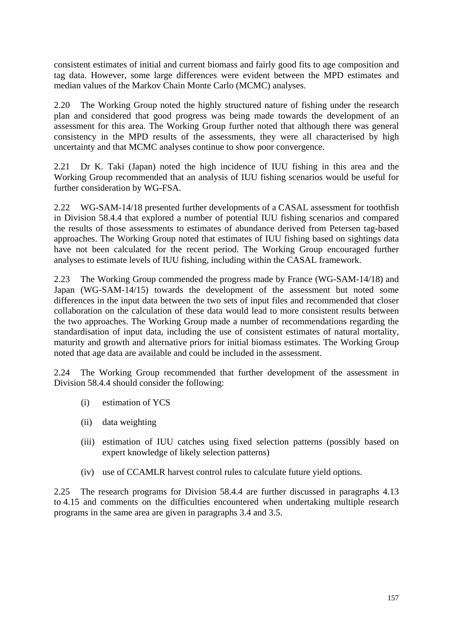consistent estimates of initial and current biomass and fairly good fits to age composition and tag data. However, some large differences were evident between the MPD estimates and median values of the Markov Chain Monte Carlo (MCMC) analyses.

2.20 The Working Group noted the highly structured nature of fishing under the research plan and considered that good progress was being made towards the development of an assessment for this area. The Working Group further noted that although there was general consistency in the MPD results of the assessments, they were all characterised by high uncertainty and that MCMC analyses continue to show poor convergence.

2.21 Dr K. Taki (Japan) noted the high incidence of IUU fishing in this area and the Working Group recommended that an analysis of IUU fishing scenarios would be useful for further consideration by WG-FSA.

2.22 WG-SAM-14/18 presented further developments of a CASAL assessment for toothfish in Division 58.4.4 that explored a number of potential IUU fishing scenarios and compared the results of those assessments to estimates of abundance derived from Petersen tag-based approaches. The Working Group noted that estimates of IUU fishing based on sightings data have not been calculated for the recent period. The Working Group encouraged further analyses to estimate levels of IUU fishing, including within the CASAL framework.

2.23 The Working Group commended the progress made by France (WG-SAM-14/18) and Japan (WG-SAM-14/15) towards the development of the assessment but noted some differences in the input data between the two sets of input files and recommended that closer collaboration on the calculation of these data would lead to more consistent results between the two approaches. The Working Group made a number of recommendations regarding the standardisation of input data, including the use of consistent estimates of natural mortality, maturity and growth and alternative priors for initial biomass estimates. The Working Group noted that age data are available and could be included in the assessment.

2.24 The Working Group recommended that further development of the assessment in Division 58.4.4 should consider the following:

- (i) estimation of YCS
- (ii) data weighting
- (iii) estimation of IUU catches using fixed selection patterns (possibly based on expert knowledge of likely selection patterns)
- (iv) use of CCAMLR harvest control rules to calculate future yield options.

2.25 The research programs for Division 58.4.4 are further discussed in paragraphs 4.13 to 4.15 and comments on the difficulties encountered when undertaking multiple research programs in the same area are given in paragraphs 3.4 and 3.5.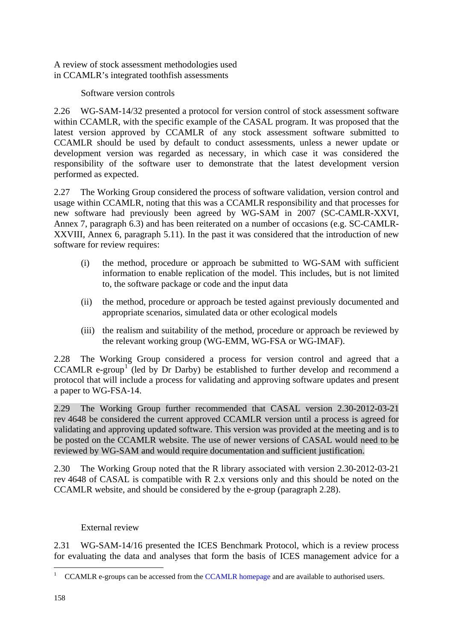A review of stock assessment methodologies used in CCAMLR's integrated toothfish assessments

Software version controls

2.26 WG-SAM-14/32 presented a protocol for version control of stock assessment software within CCAMLR, with the specific example of the CASAL program. It was proposed that the latest version approved by CCAMLR of any stock assessment software submitted to CCAMLR should be used by default to conduct assessments, unless a newer update or development version was regarded as necessary, in which case it was considered the responsibility of the software user to demonstrate that the latest development version performed as expected.

2.27 The Working Group considered the process of software validation, version control and usage within CCAMLR, noting that this was a CCAMLR responsibility and that processes for new software had previously been agreed by WG-SAM in 2007 (SC-CAMLR-XXVI, Annex 7, paragraph 6.3) and has been reiterated on a number of occasions (e.g. SC-CAMLR-XXVIII, Annex 6, paragraph 5.11). In the past it was considered that the introduction of new software for review requires:

- (i) the method, procedure or approach be submitted to WG-SAM with sufficient information to enable replication of the model. This includes, but is not limited to, the software package or code and the input data
- (ii) the method, procedure or approach be tested against previously documented and appropriate scenarios, simulated data or other ecological models
- (iii) the realism and suitability of the method, procedure or approach be reviewed by the relevant working group (WG-EMM, WG-FSA or WG-IMAF).

2.28 The Working Group considered a process for version control and agreed that a CCAMLR e-group<sup>1</sup> (led by Dr Darby) be established to further develop and recommend a protocol that will i[nc](#page-9-0)lude a process for validating and approving software updates and present a paper to WG-FSA-14.

2.29 The Working Group further recommended that CASAL version 2.30-2012-03-21 rev 4648 be considered the current approved CCAMLR version until a process is agreed for validating and approving updated software. This version was provided at the meeting and is to be posted on the CCAMLR website. The use of newer versions of CASAL would need to be reviewed by WG-SAM and would require documentation and sufficient justification.

2.30 The Working Group noted that the R library associated with version 2.30-2012-03-21 rev 4648 of CASAL is compatible with R 2.x versions only and this should be noted on the CCAMLR website, and should be considered by the e-group (paragraph 2.28).

# External review

2.31 WG-SAM-14/16 presented the ICES Benchmark Protocol, which is a review process for evaluating the data and analyses that form the basis of ICES management advice for a

<span id="page-9-0"></span><sup>&</sup>lt;sup>1</sup> CCAMLR e-groups can be accessed from the [CCAMLR homepage a](http://www.ccamlr.org/)nd are available to authorised users.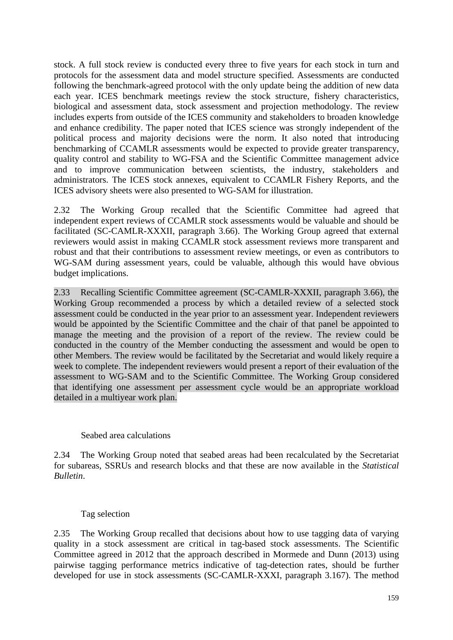stock. A full stock review is conducted every three to five years for each stock in turn and protocols for the assessment data and model structure specified. Assessments are conducted following the benchmark-agreed protocol with the only update being the addition of new data each year. ICES benchmark meetings review the stock structure, fishery characteristics, biological and assessment data, stock assessment and projection methodology. The review includes experts from outside of the ICES community and stakeholders to broaden knowledge and enhance credibility. The paper noted that ICES science was strongly independent of the political process and majority decisions were the norm. It also noted that introducing benchmarking of CCAMLR assessments would be expected to provide greater transparency, quality control and stability to WG-FSA and the Scientific Committee management advice and to improve communication between scientists, the industry, stakeholders and administrators. The ICES stock annexes, equivalent to CCAMLR Fishery Reports, and the ICES advisory sheets were also presented to WG-SAM for illustration.

2.32 The Working Group recalled that the Scientific Committee had agreed that independent expert reviews of CCAMLR stock assessments would be valuable and should be facilitated (SC-CAMLR-XXXII, paragraph 3.66). The Working Group agreed that external reviewers would assist in making CCAMLR stock assessment reviews more transparent and robust and that their contributions to assessment review meetings, or even as contributors to WG-SAM during assessment years, could be valuable, although this would have obvious budget implications.

2.33 Recalling Scientific Committee agreement (SC-CAMLR-XXXII, paragraph 3.66), the Working Group recommended a process by which a detailed review of a selected stock assessment could be conducted in the year prior to an assessment year. Independent reviewers would be appointed by the Scientific Committee and the chair of that panel be appointed to manage the meeting and the provision of a report of the review. The review could be conducted in the country of the Member conducting the assessment and would be open to other Members. The review would be facilitated by the Secretariat and would likely require a week to complete. The independent reviewers would present a report of their evaluation of the assessment to WG-SAM and to the Scientific Committee. The Working Group considered that identifying one assessment per assessment cycle would be an appropriate workload detailed in a multiyear work plan.

#### Seabed area calculations

2.34 The Working Group noted that seabed areas had been recalculated by the Secretariat for subareas, SSRUs and research blocks and that these are now available in the *Statistical Bulletin*.

#### Tag selection

2.35 The Working Group recalled that decisions about how to use tagging data of varying quality in a stock assessment are critical in tag-based stock assessments. The Scientific Committee agreed in 2012 that the approach described in Mormede and Dunn (2013) using pairwise tagging performance metrics indicative of tag-detection rates, should be further developed for use in stock assessments (SC-CAMLR-XXXI, paragraph 3.167). The method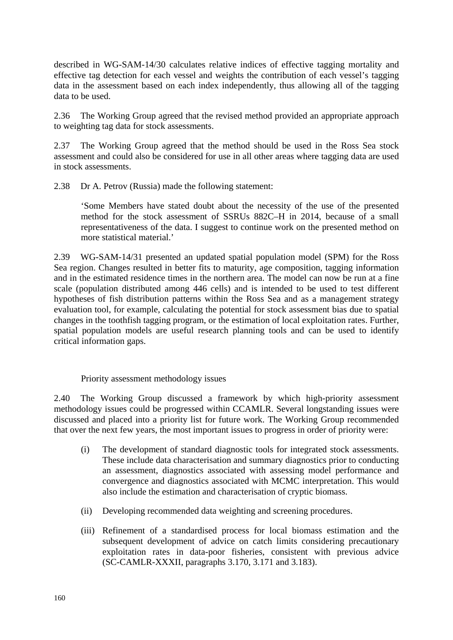described in WG-SAM-14/30 calculates relative indices of effective tagging mortality and effective tag detection for each vessel and weights the contribution of each vessel's tagging data in the assessment based on each index independently, thus allowing all of the tagging data to be used.

2.36 The Working Group agreed that the revised method provided an appropriate approach to weighting tag data for stock assessments.

2.37 The Working Group agreed that the method should be used in the Ross Sea stock assessment and could also be considered for use in all other areas where tagging data are used in stock assessments.

2.38 Dr A. Petrov (Russia) made the following statement:

'Some Members have stated doubt about the necessity of the use of the presented method for the stock assessment of SSRUs 882C–H in 2014, because of a small representativeness of the data. I suggest to continue work on the presented method on more statistical material.'

2.39 WG-SAM-14/31 presented an updated spatial population model (SPM) for the Ross Sea region. Changes resulted in better fits to maturity, age composition, tagging information and in the estimated residence times in the northern area. The model can now be run at a fine scale (population distributed among 446 cells) and is intended to be used to test different hypotheses of fish distribution patterns within the Ross Sea and as a management strategy evaluation tool, for example, calculating the potential for stock assessment bias due to spatial changes in the toothfish tagging program, or the estimation of local exploitation rates. Further, spatial population models are useful research planning tools and can be used to identify critical information gaps.

Priority assessment methodology issues

2.40 The Working Group discussed a framework by which high-priority assessment methodology issues could be progressed within CCAMLR. Several longstanding issues were discussed and placed into a priority list for future work. The Working Group recommended that over the next few years, the most important issues to progress in order of priority were:

- (i) The development of standard diagnostic tools for integrated stock assessments. These include data characterisation and summary diagnostics prior to conducting an assessment, diagnostics associated with assessing model performance and convergence and diagnostics associated with MCMC interpretation. This would also include the estimation and characterisation of cryptic biomass.
- (ii) Developing recommended data weighting and screening procedures.
- (iii) Refinement of a standardised process for local biomass estimation and the subsequent development of advice on catch limits considering precautionary exploitation rates in data-poor fisheries, consistent with previous advice (SC-CAMLR-XXXII, paragraphs 3.170, 3.171 and 3.183).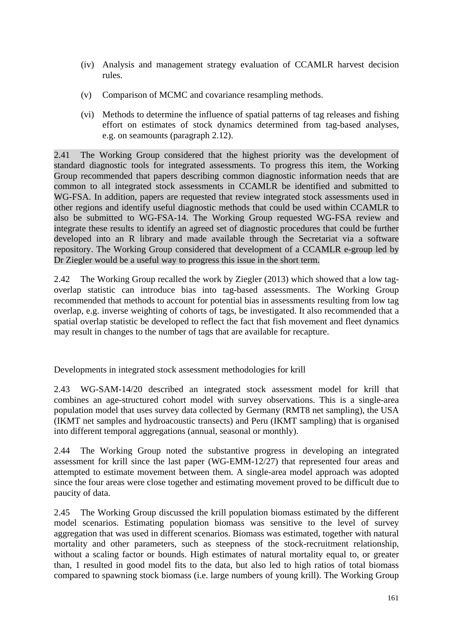- (iv) Analysis and management strategy evaluation of CCAMLR harvest decision rules.
- (v) Comparison of MCMC and covariance resampling methods.
- (vi) Methods to determine the influence of spatial patterns of tag releases and fishing effort on estimates of stock dynamics determined from tag-based analyses, e.g. on seamounts (paragraph 2.12).

2.41 The Working Group considered that the highest priority was the development of standard diagnostic tools for integrated assessments. To progress this item, the Working Group recommended that papers describing common diagnostic information needs that are common to all integrated stock assessments in CCAMLR be identified and submitted to WG-FSA. In addition, papers are requested that review integrated stock assessments used in other regions and identify useful diagnostic methods that could be used within CCAMLR to also be submitted to WG-FSA-14. The Working Group requested WG-FSA review and integrate these results to identify an agreed set of diagnostic procedures that could be further developed into an R library and made available through the Secretariat via a software repository. The Working Group considered that development of a CCAMLR e-group led by Dr Ziegler would be a useful way to progress this issue in the short term.

2.42 The Working Group recalled the work by Ziegler (2013) which showed that a low tagoverlap statistic can introduce bias into tag-based assessments. The Working Group recommended that methods to account for potential bias in assessments resulting from low tag overlap, e.g. inverse weighting of cohorts of tags, be investigated. It also recommended that a spatial overlap statistic be developed to reflect the fact that fish movement and fleet dynamics may result in changes to the number of tags that are available for recapture.

Developments in integrated stock assessment methodologies for krill

2.43 WG-SAM-14/20 described an integrated stock assessment model for krill that combines an age-structured cohort model with survey observations. This is a single-area population model that uses survey data collected by Germany (RMT8 net sampling), the USA (IKMT net samples and hydroacoustic transects) and Peru (IKMT sampling) that is organised into different temporal aggregations (annual, seasonal or monthly).

2.44 The Working Group noted the substantive progress in developing an integrated assessment for krill since the last paper (WG-EMM-12/27) that represented four areas and attempted to estimate movement between them. A single-area model approach was adopted since the four areas were close together and estimating movement proved to be difficult due to paucity of data.

2.45 The Working Group discussed the krill population biomass estimated by the different model scenarios. Estimating population biomass was sensitive to the level of survey aggregation that was used in different scenarios. Biomass was estimated, together with natural mortality and other parameters, such as steepness of the stock-recruitment relationship, without a scaling factor or bounds. High estimates of natural mortality equal to, or greater than, 1 resulted in good model fits to the data, but also led to high ratios of total biomass compared to spawning stock biomass (i.e. large numbers of young krill). The Working Group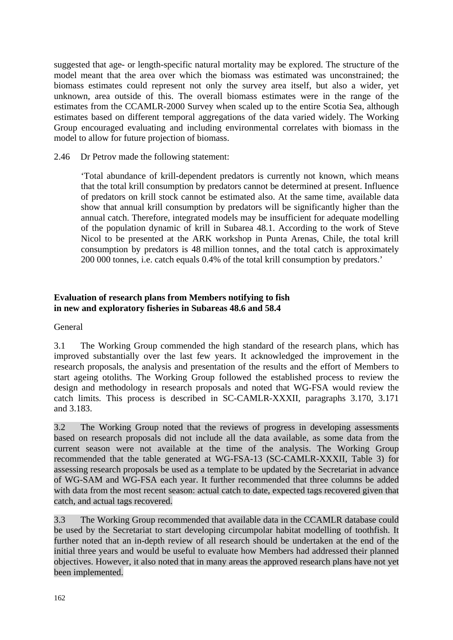<span id="page-13-0"></span>suggested that age- or length-specific natural mortality may be explored. The structure of the model meant that the area over which the biomass was estimated was unconstrained; the biomass estimates could represent not only the survey area itself, but also a wider, yet unknown, area outside of this. The overall biomass estimates were in the range of the estimates from the CCAMLR-2000 Survey when scaled up to the entire Scotia Sea, although estimates based on different temporal aggregations of the data varied widely. The Working Group encouraged evaluating and including environmental correlates with biomass in the model to allow for future projection of biomass.

2.46 Dr Petrov made the following statement:

'Total abundance of krill-dependent predators is currently not known, which means that the total krill consumption by predators cannot be determined at present. Influence of predators on krill stock cannot be estimated also. At the same time, available data show that annual krill consumption by predators will be significantly higher than the annual catch. Therefore, integrated models may be insufficient for adequate modelling of the population dynamic of krill in Subarea 48.1. According to the work of Steve Nicol to be presented at the ARK workshop in Punta Arenas, Chile, the total krill consumption by predators is 48 million tonnes, and the total catch is approximately 200 000 tonnes, i.e. catch equals 0.4% of the total krill consumption by predators.'

# **Evaluation of research plans from Members notifying to fish in new and exploratory fisheries in Subareas 48.6 and 58.4**

General

3.1 The Working Group commended the high standard of the research plans, which has improved substantially over the last few years. It acknowledged the improvement in the research proposals, the analysis and presentation of the results and the effort of Members to start ageing otoliths. The Working Group followed the established process to review the design and methodology in research proposals and noted that WG-FSA would review the catch limits. This process is described in SC-CAMLR-XXXII, paragraphs 3.170, 3.171 and 3.183.

3.2 The Working Group noted that the reviews of progress in developing assessments based on research proposals did not include all the data available, as some data from the current season were not available at the time of the analysis. The Working Group recommended that the table generated at WG-FSA-13 (SC-CAMLR-XXXII, Table 3) for assessing research proposals be used as a template to be updated by the Secretariat in advance of WG-SAM and WG-FSA each year. It further recommended that three columns be added with data from the most recent season: actual catch to date, expected tags recovered given that catch, and actual tags recovered.

3.3 The Working Group recommended that available data in the CCAMLR database could be used by the Secretariat to start developing circumpolar habitat modelling of toothfish. It further noted that an in-depth review of all research should be undertaken at the end of the initial three years and would be useful to evaluate how Members had addressed their planned objectives. However, it also noted that in many areas the approved research plans have not yet been implemented.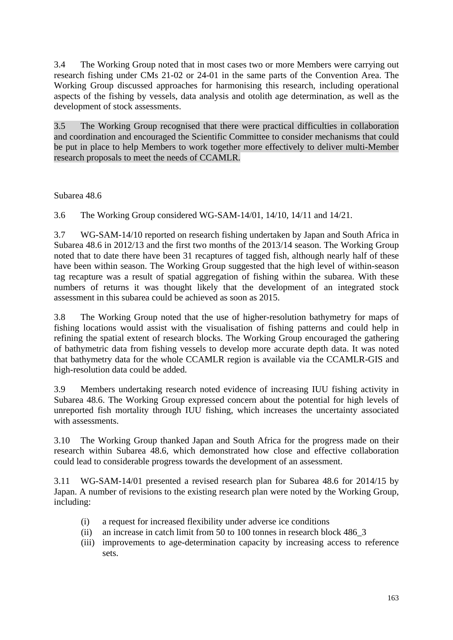3.4 The Working Group noted that in most cases two or more Members were carrying out research fishing under CMs 21-02 or 24-01 in the same parts of the Convention Area. The Working Group discussed approaches for harmonising this research, including operational aspects of the fishing by vessels, data analysis and otolith age determination, as well as the development of stock assessments.

3.5 The Working Group recognised that there were practical difficulties in collaboration and coordination and encouraged the Scientific Committee to consider mechanisms that could be put in place to help Members to work together more effectively to deliver multi-Member research proposals to meet the needs of CCAMLR.

Subarea 48.6

3.6 The Working Group considered WG-SAM-14/01, 14/10, 14/11 and 14/21.

3.7 WG-SAM-14/10 reported on research fishing undertaken by Japan and South Africa in Subarea 48.6 in 2012/13 and the first two months of the 2013/14 season. The Working Group noted that to date there have been 31 recaptures of tagged fish, although nearly half of these have been within season. The Working Group suggested that the high level of within-season tag recapture was a result of spatial aggregation of fishing within the subarea. With these numbers of returns it was thought likely that the development of an integrated stock assessment in this subarea could be achieved as soon as 2015.

3.8 The Working Group noted that the use of higher-resolution bathymetry for maps of fishing locations would assist with the visualisation of fishing patterns and could help in refining the spatial extent of research blocks. The Working Group encouraged the gathering of bathymetric data from fishing vessels to develop more accurate depth data. It was noted that bathymetry data for the whole CCAMLR region is available via the CCAMLR-GIS and high-resolution data could be added.

3.9 Members undertaking research noted evidence of increasing IUU fishing activity in Subarea 48.6. The Working Group expressed concern about the potential for high levels of unreported fish mortality through IUU fishing, which increases the uncertainty associated with assessments.

3.10 The Working Group thanked Japan and South Africa for the progress made on their research within Subarea 48.6, which demonstrated how close and effective collaboration could lead to considerable progress towards the development of an assessment.

3.11 WG-SAM-14/01 presented a revised research plan for Subarea 48.6 for 2014/15 by Japan. A number of revisions to the existing research plan were noted by the Working Group, including:

- (i) a request for increased flexibility under adverse ice conditions
- (ii) an increase in catch limit from 50 to 100 tonnes in research block 486\_3
- (iii) improvements to age-determination capacity by increasing access to reference sets.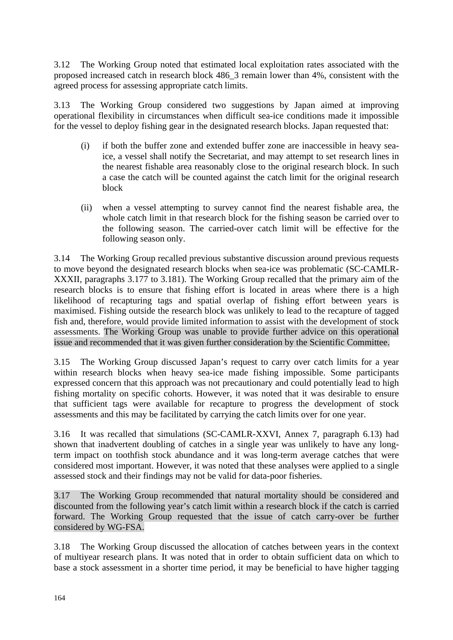3.12 The Working Group noted that estimated local exploitation rates associated with the proposed increased catch in research block 486\_3 remain lower than 4%, consistent with the agreed process for assessing appropriate catch limits.

3.13 The Working Group considered two suggestions by Japan aimed at improving operational flexibility in circumstances when difficult sea-ice conditions made it impossible for the vessel to deploy fishing gear in the designated research blocks. Japan requested that:

- (i) if both the buffer zone and extended buffer zone are inaccessible in heavy seaice, a vessel shall notify the Secretariat, and may attempt to set research lines in the nearest fishable area reasonably close to the original research block. In such a case the catch will be counted against the catch limit for the original research block
- (ii) when a vessel attempting to survey cannot find the nearest fishable area, the whole catch limit in that research block for the fishing season be carried over to the following season. The carried-over catch limit will be effective for the following season only.

3.14 The Working Group recalled previous substantive discussion around previous requests to move beyond the designated research blocks when sea-ice was problematic (SC-CAMLR-XXXII, paragraphs 3.177 to 3.181). The Working Group recalled that the primary aim of the research blocks is to ensure that fishing effort is located in areas where there is a high likelihood of recapturing tags and spatial overlap of fishing effort between years is maximised. Fishing outside the research block was unlikely to lead to the recapture of tagged fish and, therefore, would provide limited information to assist with the development of stock assessments. The Working Group was unable to provide further advice on this operational issue and recommended that it was given further consideration by the Scientific Committee.

3.15 The Working Group discussed Japan's request to carry over catch limits for a year within research blocks when heavy sea-ice made fishing impossible. Some participants expressed concern that this approach was not precautionary and could potentially lead to high fishing mortality on specific cohorts. However, it was noted that it was desirable to ensure that sufficient tags were available for recapture to progress the development of stock assessments and this may be facilitated by carrying the catch limits over for one year.

3.16 It was recalled that simulations (SC-CAMLR-XXVI, Annex 7, paragraph 6.13) had shown that inadvertent doubling of catches in a single year was unlikely to have any longterm impact on toothfish stock abundance and it was long-term average catches that were considered most important. However, it was noted that these analyses were applied to a single assessed stock and their findings may not be valid for data-poor fisheries.

3.17 The Working Group recommended that natural mortality should be considered and discounted from the following year's catch limit within a research block if the catch is carried forward. The Working Group requested that the issue of catch carry-over be further considered by WG-FSA.

3.18 The Working Group discussed the allocation of catches between years in the context of multiyear research plans. It was noted that in order to obtain sufficient data on which to base a stock assessment in a shorter time period, it may be beneficial to have higher tagging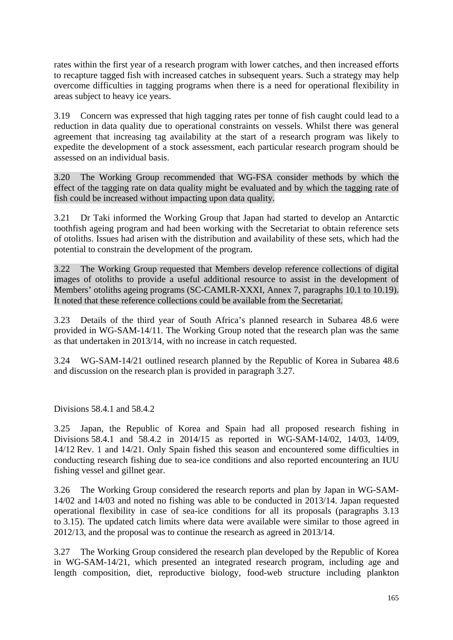rates within the first year of a research program with lower catches, and then increased efforts to recapture tagged fish with increased catches in subsequent years. Such a strategy may help overcome difficulties in tagging programs when there is a need for operational flexibility in areas subject to heavy ice years.

3.19 Concern was expressed that high tagging rates per tonne of fish caught could lead to a reduction in data quality due to operational constraints on vessels. Whilst there was general agreement that increasing tag availability at the start of a research program was likely to expedite the development of a stock assessment, each particular research program should be assessed on an individual basis.

3.20 The Working Group recommended that WG-FSA consider methods by which the effect of the tagging rate on data quality might be evaluated and by which the tagging rate of fish could be increased without impacting upon data quality.

3.21 Dr Taki informed the Working Group that Japan had started to develop an Antarctic toothfish ageing program and had been working with the Secretariat to obtain reference sets of otoliths. Issues had arisen with the distribution and availability of these sets, which had the potential to constrain the development of the program.

3.22 The Working Group requested that Members develop reference collections of digital images of otoliths to provide a useful additional resource to assist in the development of Members' otoliths ageing programs (SC-CAMLR-XXXI, Annex 7, paragraphs 10.1 to 10.19). It noted that these reference collections could be available from the Secretariat.

3.23 Details of the third year of South Africa's planned research in Subarea 48.6 were provided in WG-SAM-14/11. The Working Group noted that the research plan was the same as that undertaken in 2013/14, with no increase in catch requested.

3.24 WG-SAM-14/21 outlined research planned by the Republic of Korea in Subarea 48.6 and discussion on the research plan is provided in paragraph 3.27.

Divisions 58.4.1 and 58.4.2

3.25 Japan, the Republic of Korea and Spain had all proposed research fishing in Divisions 58.4.1 and 58.4.2 in 2014/15 as reported in WG-SAM-14/02, 14/03, 14/09, 14/12 Rev. 1 and 14/21. Only Spain fished this season and encountered some difficulties in conducting research fishing due to sea-ice conditions and also reported encountering an IUU fishing vessel and gillnet gear.

3.26 The Working Group considered the research reports and plan by Japan in WG-SAM-14/02 and 14/03 and noted no fishing was able to be conducted in 2013/14. Japan requested operational flexibility in case of sea-ice conditions for all its proposals (paragraphs 3.13 to 3.15). The updated catch limits where data were available were similar to those agreed in 2012/13, and the proposal was to continue the research as agreed in 2013/14.

3.27 The Working Group considered the research plan developed by the Republic of Korea in WG-SAM-14/21, which presented an integrated research program, including age and length composition, diet, reproductive biology, food-web structure including plankton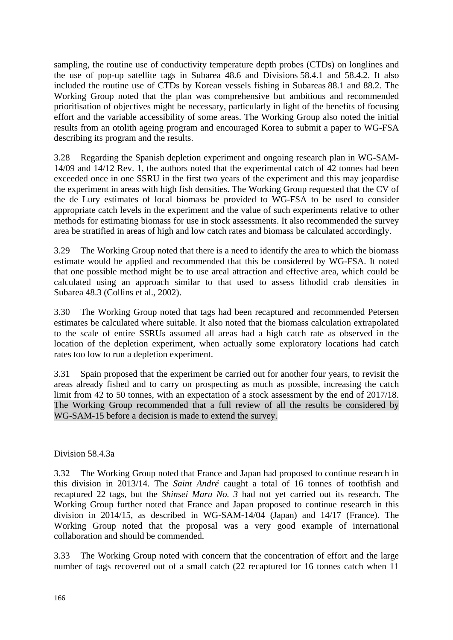sampling, the routine use of conductivity temperature depth probes (CTDs) on longlines and the use of pop-up satellite tags in Subarea 48.6 and Divisions 58.4.1 and 58.4.2. It also included the routine use of CTDs by Korean vessels fishing in Subareas 88.1 and 88.2. The Working Group noted that the plan was comprehensive but ambitious and recommended prioritisation of objectives might be necessary, particularly in light of the benefits of focusing effort and the variable accessibility of some areas. The Working Group also noted the initial results from an otolith ageing program and encouraged Korea to submit a paper to WG-FSA describing its program and the results.

3.28 Regarding the Spanish depletion experiment and ongoing research plan in WG-SAM-14/09 and 14/12 Rev. 1, the authors noted that the experimental catch of 42 tonnes had been exceeded once in one SSRU in the first two years of the experiment and this may jeopardise the experiment in areas with high fish densities. The Working Group requested that the CV of the de Lury estimates of local biomass be provided to WG-FSA to be used to consider appropriate catch levels in the experiment and the value of such experiments relative to other methods for estimating biomass for use in stock assessments. It also recommended the survey area be stratified in areas of high and low catch rates and biomass be calculated accordingly.

3.29 The Working Group noted that there is a need to identify the area to which the biomass estimate would be applied and recommended that this be considered by WG-FSA. It noted that one possible method might be to use areal attraction and effective area, which could be calculated using an approach similar to that used to assess lithodid crab densities in Subarea 48.3 (Collins et al., 2002).

3.30 The Working Group noted that tags had been recaptured and recommended Petersen estimates be calculated where suitable. It also noted that the biomass calculation extrapolated to the scale of entire SSRUs assumed all areas had a high catch rate as observed in the location of the depletion experiment, when actually some exploratory locations had catch rates too low to run a depletion experiment.

3.31 Spain proposed that the experiment be carried out for another four years, to revisit the areas already fished and to carry on prospecting as much as possible, increasing the catch limit from 42 to 50 tonnes, with an expectation of a stock assessment by the end of 2017/18. The Working Group recommended that a full review of all the results be considered by WG-SAM-15 before a decision is made to extend the survey.

Division 58.4.3a

3.32 The Working Group noted that France and Japan had proposed to continue research in this division in 2013/14. The *Saint André* caught a total of 16 tonnes of toothfish and recaptured 22 tags, but the *Shinsei Maru No. 3* had not yet carried out its research. The Working Group further noted that France and Japan proposed to continue research in this division in 2014/15, as described in WG-SAM-14/04 (Japan) and 14/17 (France). The Working Group noted that the proposal was a very good example of international collaboration and should be commended.

3.33 The Working Group noted with concern that the concentration of effort and the large number of tags recovered out of a small catch (22 recaptured for 16 tonnes catch when 11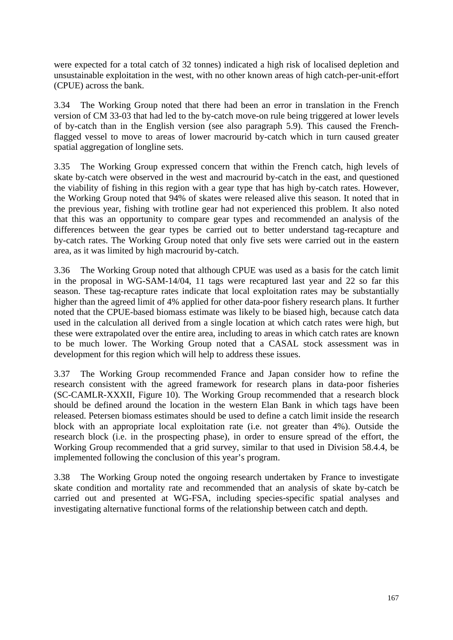were expected for a total catch of 32 tonnes) indicated a high risk of localised depletion and unsustainable exploitation in the west, with no other known areas of high catch-per-unit-effort (CPUE) across the bank.

3.34 The Working Group noted that there had been an error in translation in the French version of CM 33-03 that had led to the by-catch move-on rule being triggered at lower levels of by-catch than in the English version (see also paragraph 5.9). This caused the Frenchflagged vessel to move to areas of lower macrourid by-catch which in turn caused greater spatial aggregation of longline sets.

3.35 The Working Group expressed concern that within the French catch, high levels of skate by-catch were observed in the west and macrourid by-catch in the east, and questioned the viability of fishing in this region with a gear type that has high by-catch rates. However, the Working Group noted that 94% of skates were released alive this season. It noted that in the previous year, fishing with trotline gear had not experienced this problem. It also noted that this was an opportunity to compare gear types and recommended an analysis of the differences between the gear types be carried out to better understand tag-recapture and by-catch rates. The Working Group noted that only five sets were carried out in the eastern area, as it was limited by high macrourid by-catch.

3.36 The Working Group noted that although CPUE was used as a basis for the catch limit in the proposal in WG-SAM-14/04, 11 tags were recaptured last year and 22 so far this season. These tag-recapture rates indicate that local exploitation rates may be substantially higher than the agreed limit of 4% applied for other data-poor fishery research plans. It further noted that the CPUE-based biomass estimate was likely to be biased high, because catch data used in the calculation all derived from a single location at which catch rates were high, but these were extrapolated over the entire area, including to areas in which catch rates are known to be much lower. The Working Group noted that a CASAL stock assessment was in development for this region which will help to address these issues.

3.37 The Working Group recommended France and Japan consider how to refine the research consistent with the agreed framework for research plans in data-poor fisheries (SC-CAMLR-XXXII, Figure 10). The Working Group recommended that a research block should be defined around the location in the western Elan Bank in which tags have been released. Petersen biomass estimates should be used to define a catch limit inside the research block with an appropriate local exploitation rate (i.e. not greater than 4%). Outside the research block (i.e. in the prospecting phase), in order to ensure spread of the effort, the Working Group recommended that a grid survey, similar to that used in Division 58.4.4, be implemented following the conclusion of this year's program.

3.38 The Working Group noted the ongoing research undertaken by France to investigate skate condition and mortality rate and recommended that an analysis of skate by-catch be carried out and presented at WG-FSA, including species-specific spatial analyses and investigating alternative functional forms of the relationship between catch and depth.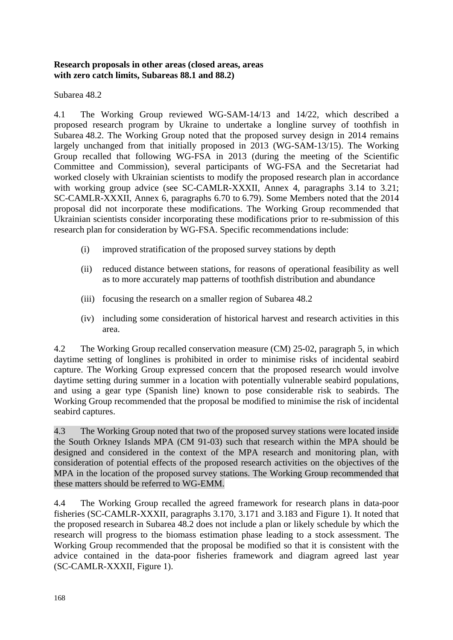## <span id="page-19-0"></span>**Research proposals in other areas (closed areas, areas with zero catch limits, Subareas 88.1 and 88.2)**

# Subarea 48.2

4.1 The Working Group reviewed WG-SAM-14/13 and 14/22, which described a proposed research program by Ukraine to undertake a longline survey of toothfish in Subarea 48.2. The Working Group noted that the proposed survey design in 2014 remains largely unchanged from that initially proposed in 2013 (WG-SAM-13/15). The Working Group recalled that following WG-FSA in 2013 (during the meeting of the Scientific Committee and Commission), several participants of WG-FSA and the Secretariat had worked closely with Ukrainian scientists to modify the proposed research plan in accordance with working group advice (see SC-CAMLR-XXXII, Annex 4, paragraphs 3.14 to 3.21; SC-CAMLR-XXXII, Annex 6, paragraphs 6.70 to 6.79). Some Members noted that the 2014 proposal did not incorporate these modifications. The Working Group recommended that Ukrainian scientists consider incorporating these modifications prior to re-submission of this research plan for consideration by WG-FSA. Specific recommendations include:

- (i) improved stratification of the proposed survey stations by depth
- (ii) reduced distance between stations, for reasons of operational feasibility as well as to more accurately map patterns of toothfish distribution and abundance
- (iii) focusing the research on a smaller region of Subarea 48.2
- (iv) including some consideration of historical harvest and research activities in this area.

4.2 The Working Group recalled conservation measure (CM) 25-02, paragraph 5, in which daytime setting of longlines is prohibited in order to minimise risks of incidental seabird capture. The Working Group expressed concern that the proposed research would involve daytime setting during summer in a location with potentially vulnerable seabird populations, and using a gear type (Spanish line) known to pose considerable risk to seabirds. The Working Group recommended that the proposal be modified to minimise the risk of incidental seabird captures.

4.3 The Working Group noted that two of the proposed survey stations were located inside the South Orkney Islands MPA (CM 91-03) such that research within the MPA should be designed and considered in the context of the MPA research and monitoring plan, with consideration of potential effects of the proposed research activities on the objectives of the MPA in the location of the proposed survey stations. The Working Group recommended that these matters should be referred to WG-EMM.

4.4 The Working Group recalled the agreed framework for research plans in data-poor fisheries (SC-CAMLR-XXXII, paragraphs 3.170, 3.171 and 3.183 and Figure 1). It noted that the proposed research in Subarea 48.2 does not include a plan or likely schedule by which the research will progress to the biomass estimation phase leading to a stock assessment. The Working Group recommended that the proposal be modified so that it is consistent with the advice contained in the data-poor fisheries framework and diagram agreed last year (SC-CAMLR-XXXII, Figure 1).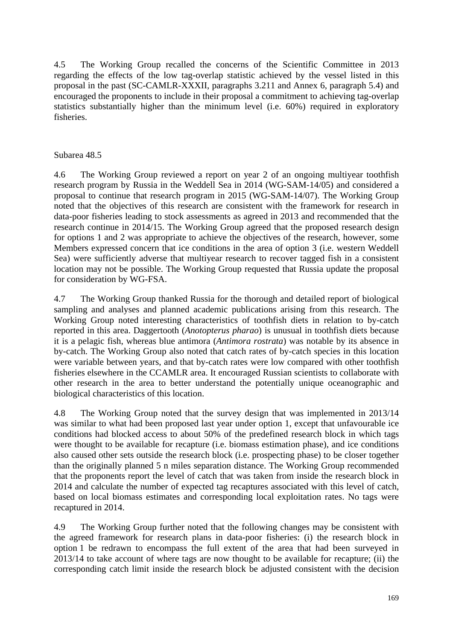4.5 The Working Group recalled the concerns of the Scientific Committee in 2013 regarding the effects of the low tag-overlap statistic achieved by the vessel listed in this proposal in the past (SC-CAMLR-XXXII, paragraphs 3.211 and Annex 6, paragraph 5.4) and encouraged the proponents to include in their proposal a commitment to achieving tag-overlap statistics substantially higher than the minimum level (i.e. 60%) required in exploratory fisheries.

# Subarea 48.5

4.6 The Working Group reviewed a report on year 2 of an ongoing multiyear toothfish research program by Russia in the Weddell Sea in 2014 (WG-SAM-14/05) and considered a proposal to continue that research program in 2015 (WG-SAM-14/07). The Working Group noted that the objectives of this research are consistent with the framework for research in data-poor fisheries leading to stock assessments as agreed in 2013 and recommended that the research continue in 2014/15. The Working Group agreed that the proposed research design for options 1 and 2 was appropriate to achieve the objectives of the research, however, some Members expressed concern that ice conditions in the area of option 3 (i.e. western Weddell Sea) were sufficiently adverse that multiyear research to recover tagged fish in a consistent location may not be possible. The Working Group requested that Russia update the proposal for consideration by WG-FSA.

4.7 The Working Group thanked Russia for the thorough and detailed report of biological sampling and analyses and planned academic publications arising from this research. The Working Group noted interesting characteristics of toothfish diets in relation to by-catch reported in this area. Daggertooth (*Anotopterus pharao*) is unusual in toothfish diets because it is a pelagic fish, whereas blue antimora (*Antimora rostrata*) was notable by its absence in by-catch. The Working Group also noted that catch rates of by-catch species in this location were variable between years, and that by-catch rates were low compared with other toothfish fisheries elsewhere in the CCAMLR area. It encouraged Russian scientists to collaborate with other research in the area to better understand the potentially unique oceanographic and biological characteristics of this location.

4.8 The Working Group noted that the survey design that was implemented in 2013/14 was similar to what had been proposed last year under option 1, except that unfavourable ice conditions had blocked access to about 50% of the predefined research block in which tags were thought to be available for recapture (i.e. biomass estimation phase), and ice conditions also caused other sets outside the research block (i.e. prospecting phase) to be closer together than the originally planned 5 n miles separation distance. The Working Group recommended that the proponents report the level of catch that was taken from inside the research block in 2014 and calculate the number of expected tag recaptures associated with this level of catch, based on local biomass estimates and corresponding local exploitation rates. No tags were recaptured in 2014.

4.9 The Working Group further noted that the following changes may be consistent with the agreed framework for research plans in data-poor fisheries: (i) the research block in option 1 be redrawn to encompass the full extent of the area that had been surveyed in 2013/14 to take account of where tags are now thought to be available for recapture; (ii) the corresponding catch limit inside the research block be adjusted consistent with the decision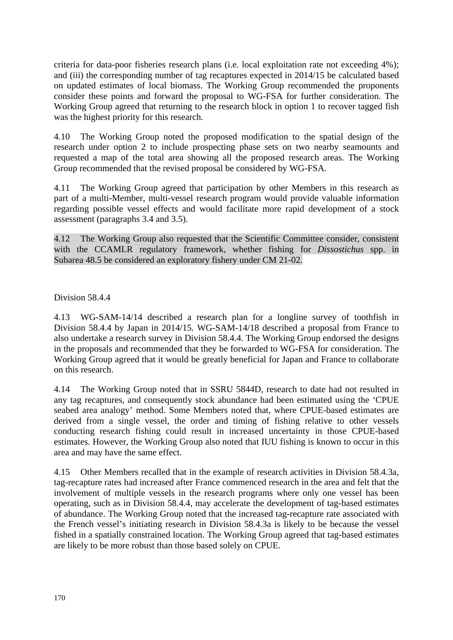criteria for data-poor fisheries research plans (i.e. local exploitation rate not exceeding 4%); and (iii) the corresponding number of tag recaptures expected in 2014/15 be calculated based on updated estimates of local biomass. The Working Group recommended the proponents consider these points and forward the proposal to WG-FSA for further consideration. The Working Group agreed that returning to the research block in option 1 to recover tagged fish was the highest priority for this research.

4.10 The Working Group noted the proposed modification to the spatial design of the research under option 2 to include prospecting phase sets on two nearby seamounts and requested a map of the total area showing all the proposed research areas. The Working Group recommended that the revised proposal be considered by WG-FSA.

4.11 The Working Group agreed that participation by other Members in this research as part of a multi-Member, multi-vessel research program would provide valuable information regarding possible vessel effects and would facilitate more rapid development of a stock assessment (paragraphs 3.4 and 3.5).

4.12 The Working Group also requested that the Scientific Committee consider, consistent with the CCAMLR regulatory framework, whether fishing for *Dissostichus* spp. in Subarea 48.5 be considered an exploratory fishery under CM 21-02.

Division 58.4.4

4.13 WG-SAM-14/14 described a research plan for a longline survey of toothfish in Division 58.4.4 by Japan in 2014/15. WG-SAM-14/18 described a proposal from France to also undertake a research survey in Division 58.4.4. The Working Group endorsed the designs in the proposals and recommended that they be forwarded to WG-FSA for consideration. The Working Group agreed that it would be greatly beneficial for Japan and France to collaborate on this research.

4.14 The Working Group noted that in SSRU 5844D, research to date had not resulted in any tag recaptures, and consequently stock abundance had been estimated using the 'CPUE seabed area analogy' method. Some Members noted that, where CPUE-based estimates are derived from a single vessel, the order and timing of fishing relative to other vessels conducting research fishing could result in increased uncertainty in those CPUE-based estimates. However, the Working Group also noted that IUU fishing is known to occur in this area and may have the same effect.

4.15 Other Members recalled that in the example of research activities in Division 58.4.3a, tag-recapture rates had increased after France commenced research in the area and felt that the involvement of multiple vessels in the research programs where only one vessel has been operating, such as in Division 58.4.4, may accelerate the development of tag-based estimates of abundance. The Working Group noted that the increased tag-recapture rate associated with the French vessel's initiating research in Division 58.4.3a is likely to be because the vessel fished in a spatially constrained location. The Working Group agreed that tag-based estimates are likely to be more robust than those based solely on CPUE.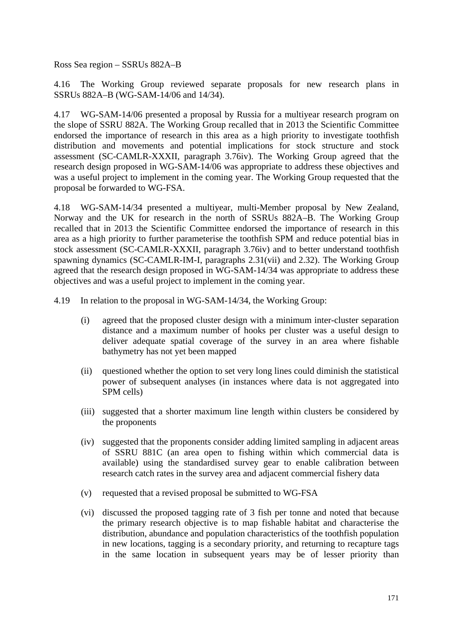Ross Sea region – SSRUs 882A–B

4.16 The Working Group reviewed separate proposals for new research plans in SSRUs 882A–B (WG-SAM-14/06 and 14/34).

4.17 WG-SAM-14/06 presented a proposal by Russia for a multiyear research program on the slope of SSRU 882A. The Working Group recalled that in 2013 the Scientific Committee endorsed the importance of research in this area as a high priority to investigate toothfish distribution and movements and potential implications for stock structure and stock assessment (SC-CAMLR-XXXII, paragraph 3.76iv). The Working Group agreed that the research design proposed in WG-SAM-14/06 was appropriate to address these objectives and was a useful project to implement in the coming year. The Working Group requested that the proposal be forwarded to WG-FSA.

4.18 WG-SAM-14/34 presented a multiyear, multi-Member proposal by New Zealand, Norway and the UK for research in the north of SSRUs 882A–B. The Working Group recalled that in 2013 the Scientific Committee endorsed the importance of research in this area as a high priority to further parameterise the toothfish SPM and reduce potential bias in stock assessment (SC-CAMLR-XXXII, paragraph 3.76iv) and to better understand toothfish spawning dynamics (SC-CAMLR-IM-I, paragraphs 2.31(vii) and 2.32). The Working Group agreed that the research design proposed in WG-SAM-14/34 was appropriate to address these objectives and was a useful project to implement in the coming year.

4.19 In relation to the proposal in WG-SAM-14/34, the Working Group:

- (i) agreed that the proposed cluster design with a minimum inter-cluster separation distance and a maximum number of hooks per cluster was a useful design to deliver adequate spatial coverage of the survey in an area where fishable bathymetry has not yet been mapped
- (ii) questioned whether the option to set very long lines could diminish the statistical power of subsequent analyses (in instances where data is not aggregated into SPM cells)
- (iii) suggested that a shorter maximum line length within clusters be considered by the proponents
- (iv) suggested that the proponents consider adding limited sampling in adjacent areas of SSRU 881C (an area open to fishing within which commercial data is available) using the standardised survey gear to enable calibration between research catch rates in the survey area and adjacent commercial fishery data
- (v) requested that a revised proposal be submitted to WG-FSA
- (vi) discussed the proposed tagging rate of 3 fish per tonne and noted that because the primary research objective is to map fishable habitat and characterise the distribution, abundance and population characteristics of the toothfish population in new locations, tagging is a secondary priority, and returning to recapture tags in the same location in subsequent years may be of lesser priority than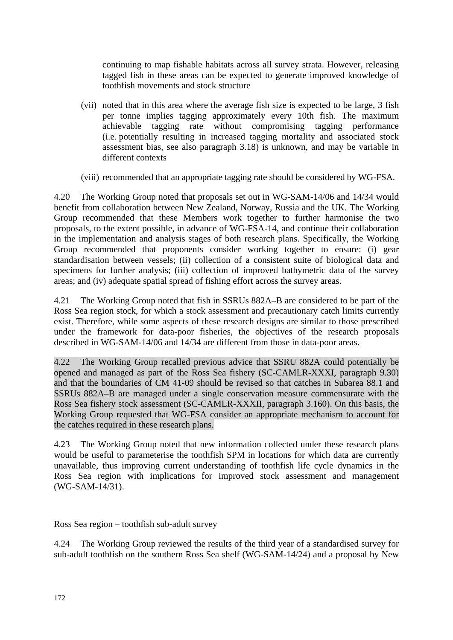continuing to map fishable habitats across all survey strata. However, releasing tagged fish in these areas can be expected to generate improved knowledge of toothfish movements and stock structure

- (vii) noted that in this area where the average fish size is expected to be large, 3 fish per tonne implies tagging approximately every 10th fish. The maximum achievable tagging rate without compromising tagging performance (i.e. potentially resulting in increased tagging mortality and associated stock assessment bias, see also paragraph 3.18) is unknown, and may be variable in different contexts
- (viii) recommended that an appropriate tagging rate should be considered by WG-FSA.

4.20 The Working Group noted that proposals set out in WG-SAM-14/06 and 14/34 would benefit from collaboration between New Zealand, Norway, Russia and the UK. The Working Group recommended that these Members work together to further harmonise the two proposals, to the extent possible, in advance of WG-FSA-14, and continue their collaboration in the implementation and analysis stages of both research plans. Specifically, the Working Group recommended that proponents consider working together to ensure: (i) gear standardisation between vessels; (ii) collection of a consistent suite of biological data and specimens for further analysis; (iii) collection of improved bathymetric data of the survey areas; and (iv) adequate spatial spread of fishing effort across the survey areas.

4.21 The Working Group noted that fish in SSRUs 882A–B are considered to be part of the Ross Sea region stock, for which a stock assessment and precautionary catch limits currently exist. Therefore, while some aspects of these research designs are similar to those prescribed under the framework for data-poor fisheries, the objectives of the research proposals described in WG-SAM-14/06 and 14/34 are different from those in data-poor areas.

4.22 The Working Group recalled previous advice that SSRU 882A could potentially be opened and managed as part of the Ross Sea fishery (SC-CAMLR-XXXI, paragraph 9.30) and that the boundaries of CM 41-09 should be revised so that catches in Subarea 88.1 and SSRUs 882A–B are managed under a single conservation measure commensurate with the Ross Sea fishery stock assessment (SC-CAMLR-XXXII, paragraph 3.160). On this basis, the Working Group requested that WG-FSA consider an appropriate mechanism to account for the catches required in these research plans.

4.23 The Working Group noted that new information collected under these research plans would be useful to parameterise the toothfish SPM in locations for which data are currently unavailable, thus improving current understanding of toothfish life cycle dynamics in the Ross Sea region with implications for improved stock assessment and management (WG-SAM-14/31).

Ross Sea region – toothfish sub-adult survey

4.24 The Working Group reviewed the results of the third year of a standardised survey for sub-adult toothfish on the southern Ross Sea shelf (WG-SAM-14/24) and a proposal by New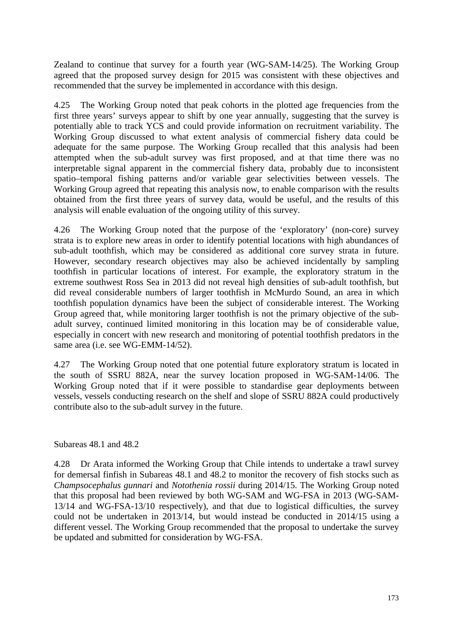Zealand to continue that survey for a fourth year (WG-SAM-14/25). The Working Group agreed that the proposed survey design for 2015 was consistent with these objectives and recommended that the survey be implemented in accordance with this design.

4.25 The Working Group noted that peak cohorts in the plotted age frequencies from the first three years' surveys appear to shift by one year annually, suggesting that the survey is potentially able to track YCS and could provide information on recruitment variability. The Working Group discussed to what extent analysis of commercial fishery data could be adequate for the same purpose. The Working Group recalled that this analysis had been attempted when the sub-adult survey was first proposed, and at that time there was no interpretable signal apparent in the commercial fishery data, probably due to inconsistent spatio–temporal fishing patterns and/or variable gear selectivities between vessels. The Working Group agreed that repeating this analysis now, to enable comparison with the results obtained from the first three years of survey data, would be useful, and the results of this analysis will enable evaluation of the ongoing utility of this survey.

4.26 The Working Group noted that the purpose of the 'exploratory' (non-core) survey strata is to explore new areas in order to identify potential locations with high abundances of sub-adult toothfish, which may be considered as additional core survey strata in future. However, secondary research objectives may also be achieved incidentally by sampling toothfish in particular locations of interest. For example, the exploratory stratum in the extreme southwest Ross Sea in 2013 did not reveal high densities of sub-adult toothfish, but did reveal considerable numbers of larger toothfish in McMurdo Sound, an area in which toothfish population dynamics have been the subject of considerable interest. The Working Group agreed that, while monitoring larger toothfish is not the primary objective of the subadult survey, continued limited monitoring in this location may be of considerable value, especially in concert with new research and monitoring of potential toothfish predators in the same area (i.e. see WG-EMM-14/52).

4.27 The Working Group noted that one potential future exploratory stratum is located in the south of SSRU 882A, near the survey location proposed in WG-SAM-14/06. The Working Group noted that if it were possible to standardise gear deployments between vessels, vessels conducting research on the shelf and slope of SSRU 882A could productively contribute also to the sub-adult survey in the future.

Subareas 48.1 and 48.2

4.28 Dr Arata informed the Working Group that Chile intends to undertake a trawl survey for demersal finfish in Subareas 48.1 and 48.2 to monitor the recovery of fish stocks such as *Champsocephalus gunnari* and *Notothenia rossii* during 2014/15. The Working Group noted that this proposal had been reviewed by both WG-SAM and WG-FSA in 2013 (WG-SAM-13/14 and WG-FSA-13/10 respectively), and that due to logistical difficulties, the survey could not be undertaken in 2013/14, but would instead be conducted in 2014/15 using a different vessel. The Working Group recommended that the proposal to undertake the survey be updated and submitted for consideration by WG-FSA.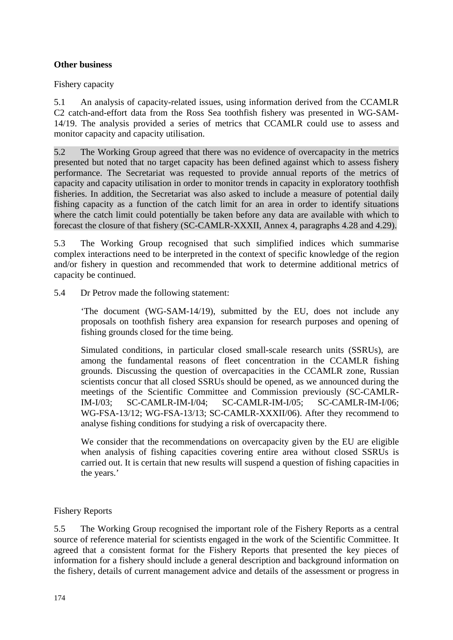# <span id="page-25-0"></span>**Other business**

Fishery capacity

5.1 An analysis of capacity-related issues, using information derived from the CCAMLR C2 catch-and-effort data from the Ross Sea toothfish fishery was presented in WG-SAM-14/19. The analysis provided a series of metrics that CCAMLR could use to assess and monitor capacity and capacity utilisation.

5.2 The Working Group agreed that there was no evidence of overcapacity in the metrics presented but noted that no target capacity has been defined against which to assess fishery performance. The Secretariat was requested to provide annual reports of the metrics of capacity and capacity utilisation in order to monitor trends in capacity in exploratory toothfish fisheries. In addition, the Secretariat was also asked to include a measure of potential daily fishing capacity as a function of the catch limit for an area in order to identify situations where the catch limit could potentially be taken before any data are available with which to forecast the closure of that fishery (SC-CAMLR-XXXII, Annex 4, paragraphs 4.28 and 4.29).

5.3 The Working Group recognised that such simplified indices which summarise complex interactions need to be interpreted in the context of specific knowledge of the region and/or fishery in question and recommended that work to determine additional metrics of capacity be continued.

5.4 Dr Petrov made the following statement:

'The document (WG-SAM-14/19), submitted by the EU, does not include any proposals on toothfish fishery area expansion for research purposes and opening of fishing grounds closed for the time being.

Simulated conditions, in particular closed small-scale research units (SSRUs), are among the fundamental reasons of fleet concentration in the CCAMLR fishing grounds. Discussing the question of overcapacities in the CCAMLR zone, Russian scientists concur that all closed SSRUs should be opened, as we announced during the meetings of the Scientific Committee and Commission previously (SC-CAMLR-IM-I/03; SC-CAMLR-IM-I/04; SC-CAMLR-IM-I/05; SC-CAMLR-IM-I/06; WG-FSA-13/12; WG-FSA-13/13; SC-CAMLR-XXXII/06). After they recommend to analyse fishing conditions for studying a risk of overcapacity there.

We consider that the recommendations on overcapacity given by the EU are eligible when analysis of fishing capacities covering entire area without closed SSRUs is carried out. It is certain that new results will suspend a question of fishing capacities in the years.'

# Fishery Reports

5.5 The Working Group recognised the important role of the Fishery Reports as a central source of reference material for scientists engaged in the work of the Scientific Committee. It agreed that a consistent format for the Fishery Reports that presented the key pieces of information for a fishery should include a general description and background information on the fishery, details of current management advice and details of the assessment or progress in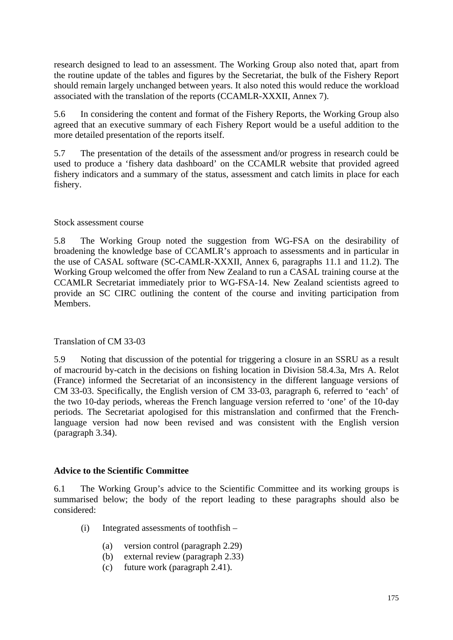<span id="page-26-0"></span>research designed to lead to an assessment. The Working Group also noted that, apart from the routine update of the tables and figures by the Secretariat, the bulk of the Fishery Report should remain largely unchanged between years. It also noted this would reduce the workload associated with the translation of the reports (CCAMLR-XXXII, Annex 7).

5.6 In considering the content and format of the Fishery Reports, the Working Group also agreed that an executive summary of each Fishery Report would be a useful addition to the more detailed presentation of the reports itself.

5.7 The presentation of the details of the assessment and/or progress in research could be used to produce a 'fishery data dashboard' on the CCAMLR website that provided agreed fishery indicators and a summary of the status, assessment and catch limits in place for each fishery.

## Stock assessment course

5.8 The Working Group noted the suggestion from WG-FSA on the desirability of broadening the knowledge base of CCAMLR's approach to assessments and in particular in the use of CASAL software (SC-CAMLR-XXXII, Annex 6, paragraphs 11.1 and 11.2). The Working Group welcomed the offer from New Zealand to run a CASAL training course at the CCAMLR Secretariat immediately prior to WG-FSA-14. New Zealand scientists agreed to provide an SC CIRC outlining the content of the course and inviting participation from Members.

#### Translation of CM 33-03

5.9 Noting that discussion of the potential for triggering a closure in an SSRU as a result of macrourid by-catch in the decisions on fishing location in Division 58.4.3a, Mrs A. Relot (France) informed the Secretariat of an inconsistency in the different language versions of CM 33-03. Specifically, the English version of CM 33-03, paragraph 6, referred to 'each' of the two 10-day periods, whereas the French language version referred to 'one' of the 10-day periods. The Secretariat apologised for this mistranslation and confirmed that the Frenchlanguage version had now been revised and was consistent with the English version (paragraph 3.34).

# **Advice to the Scientific Committee**

6.1 The Working Group's advice to the Scientific Committee and its working groups is summarised below; the body of the report leading to these paragraphs should also be considered:

- (i) Integrated assessments of toothfish
	- (a) version control (paragraph 2.29)
	- (b) external review (paragraph 2.33)
	- (c) future work (paragraph 2.41).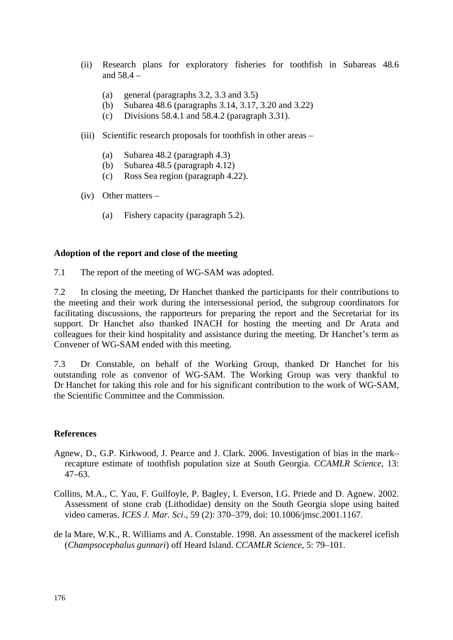- <span id="page-27-0"></span>(ii) Research plans for exploratory fisheries for toothfish in Subareas 48.6 and 58.4 –
	- (a) general (paragraphs 3.2, 3.3 and 3.5)
	- (b) Subarea 48.6 (paragraphs 3.14, 3.17, 3.20 and 3.22)
	- (c) Divisions 58.4.1 and 58.4.2 (paragraph 3.31).
- (iii) Scientific research proposals for toothfish in other areas
	- (a) Subarea 48.2 (paragraph 4.3)
	- (b) Subarea 48.5 (paragraph 4.12)
	- (c) Ross Sea region (paragraph 4.22).
- (iv) Other matters
	- (a) Fishery capacity (paragraph 5.2).

#### **Adoption of the report and close of the meeting**

7.1 The report of the meeting of WG-SAM was adopted.

7.2 In closing the meeting, Dr Hanchet thanked the participants for their contributions to the meeting and their work during the intersessional period, the subgroup coordinators for facilitating discussions, the rapporteurs for preparing the report and the Secretariat for its support. Dr Hanchet also thanked INACH for hosting the meeting and Dr Arata and colleagues for their kind hospitality and assistance during the meeting. Dr Hanchet's term as Convener of WG-SAM ended with this meeting.

7.3 Dr Constable, on behalf of the Working Group, thanked Dr Hanchet for his outstanding role as convenor of WG-SAM. The Working Group was very thankful to Dr Hanchet for taking this role and for his significant contribution to the work of WG-SAM, the Scientific Committee and the Commission.

#### **References**

- Agnew, D., G.P. Kirkwood, J. Pearce and J. Clark. 2006. Investigation of bias in the mark– recapture estimate of toothfish population size at South Georgia. *CCAMLR Science*, 13: 47–63.
- Collins, M.A., C. Yau, F. Guilfoyle, P. Bagley, I. Everson, I.G. Priede and D. Agnew. 2002. Assessment of stone crab (Lithodidae) density on the South Georgia slope using baited video cameras. *ICES J. Mar. Sci*., 59 (2): 370–379, doi: 10.1006/jmsc.2001.1167.
- de la Mare, W.K., R. Williams and A. Constable. 1998. An assessment of the mackerel icefish (*Champsocephalus gunnari*) off Heard Island. *CCAMLR Science*, 5: 79–101.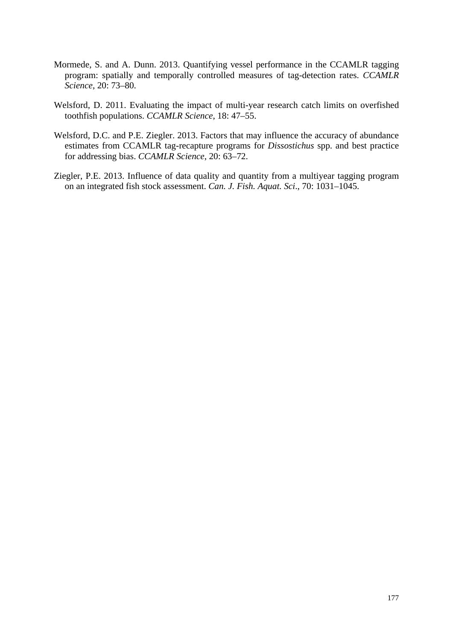- Mormede, S. and A. Dunn. 2013. Quantifying vessel performance in the CCAMLR tagging program: spatially and temporally controlled measures of tag-detection rates. *CCAMLR Science*, 20: 73–80.
- Welsford, D. 2011. Evaluating the impact of multi-year research catch limits on overfished toothfish populations. *CCAMLR Science*, 18: 47–55.
- Welsford, D.C. and P.E. Ziegler. 2013. Factors that may influence the accuracy of abundance estimates from CCAMLR tag-recapture programs for *Dissostichus* spp. and best practice for addressing bias. *CCAMLR Science*, 20: 63–72.
- Ziegler, P.E. 2013. Influence of data quality and quantity from a multiyear tagging program on an integrated fish stock assessment. *Can. J. Fish. Aquat. Sci*., 70: 1031–1045.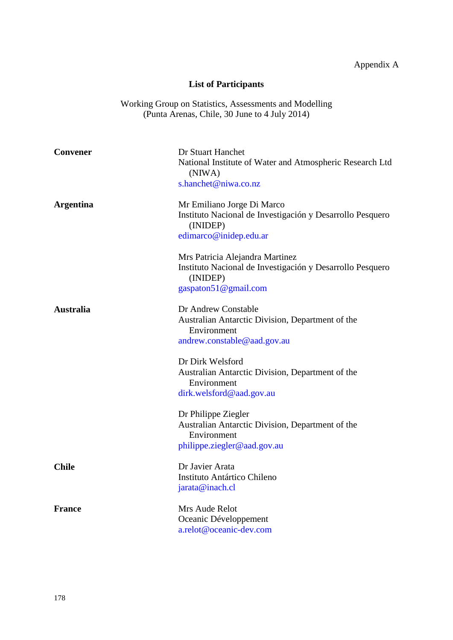# **List of Participants**

Working Group on Statistics, Assessments and Modelling (Punta Arenas, Chile, 30 June to 4 July 2014)

<span id="page-29-0"></span>

| <b>Convener</b>  | Dr Stuart Hanchet<br>National Institute of Water and Atmospheric Research Ltd<br>(NIWA)                                          |
|------------------|----------------------------------------------------------------------------------------------------------------------------------|
|                  | s.hanchet@niwa.co.nz                                                                                                             |
| <b>Argentina</b> | Mr Emiliano Jorge Di Marco<br>Instituto Nacional de Investigación y Desarrollo Pesquero<br>(INIDEP)<br>edimarco@inidep.edu.ar    |
|                  | Mrs Patricia Alejandra Martinez<br>Instituto Nacional de Investigación y Desarrollo Pesquero<br>(INIDEP)<br>gaspaton51@gmail.com |
| <b>Australia</b> | Dr Andrew Constable<br>Australian Antarctic Division, Department of the<br>Environment<br>andrew.constable@aad.gov.au            |
|                  | Dr Dirk Welsford<br>Australian Antarctic Division, Department of the<br>Environment<br>dirk.welsford@aad.gov.au                  |
|                  | Dr Philippe Ziegler<br>Australian Antarctic Division, Department of the<br>Environment<br>philippe.ziegler@aad.gov.au            |
| <b>Chile</b>     | Dr Javier Arata<br>Instituto Antártico Chileno<br>jarata@inach.cl                                                                |
| <b>France</b>    | Mrs Aude Relot<br>Oceanic Développement<br>a.relot@oceanic-dev.com                                                               |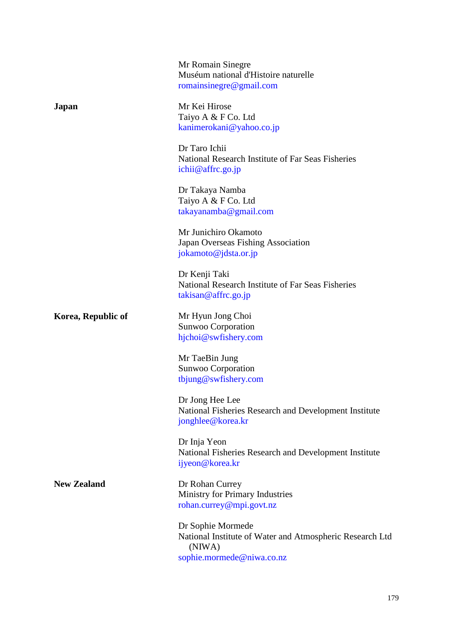|                    | Mr Romain Sinegre<br>Muséum national d'Histoire naturelle<br>romainsinegre@gmail.com                                 |
|--------------------|----------------------------------------------------------------------------------------------------------------------|
| Japan              | Mr Kei Hirose<br>Taiyo A & F Co. Ltd<br>kanimerokani@yahoo.co.jp                                                     |
|                    | Dr Taro Ichii<br>National Research Institute of Far Seas Fisheries<br>ichii@affrc.go.jp                              |
|                    | Dr Takaya Namba<br>Taiyo A & F Co. Ltd<br>takayanamba@gmail.com                                                      |
|                    | Mr Junichiro Okamoto<br>Japan Overseas Fishing Association<br>jokamoto@jdsta.or.jp                                   |
|                    | Dr Kenji Taki<br>National Research Institute of Far Seas Fisheries<br>$\text{taking} @$ affrc.go.jp                  |
| Korea, Republic of | Mr Hyun Jong Choi<br>Sunwoo Corporation<br>hjchoi@swfishery.com                                                      |
|                    | Mr TaeBin Jung<br>Sunwoo Corporation<br>tbjung@swfishery.com                                                         |
|                    | Dr Jong Hee Lee<br>National Fisheries Research and Development Institute<br>jonghlee@korea.kr                        |
|                    | Dr Inja Yeon<br>National Fisheries Research and Development Institute<br>ijyeon@korea.kr                             |
| <b>New Zealand</b> | Dr Rohan Currey<br>Ministry for Primary Industries<br>rohan.currey@mpi.govt.nz                                       |
|                    | Dr Sophie Mormede<br>National Institute of Water and Atmospheric Research Ltd<br>(NIWA)<br>sophie.mormede@niwa.co.nz |
|                    |                                                                                                                      |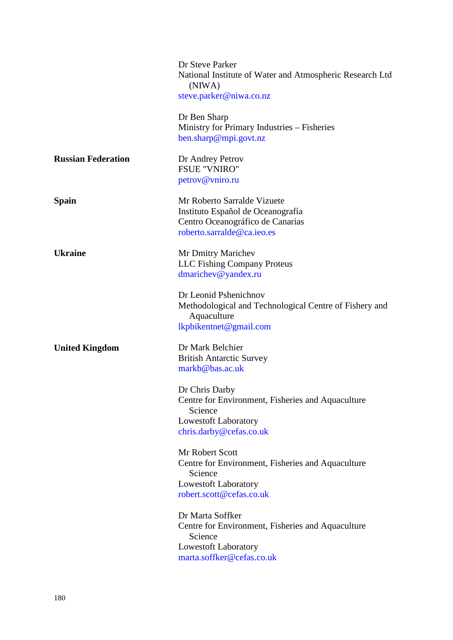|                           | Dr Steve Parker<br>National Institute of Water and Atmospheric Research Ltd<br>(NIWA)<br>steve.parker@niwa.co.nz                             |
|---------------------------|----------------------------------------------------------------------------------------------------------------------------------------------|
|                           | Dr Ben Sharp<br>Ministry for Primary Industries – Fisheries<br>ben.sharp@mpi.govt.nz                                                         |
| <b>Russian Federation</b> | Dr Andrey Petrov<br><b>FSUE "VNIRO"</b><br>petrov@vniro.ru                                                                                   |
| <b>Spain</b>              | Mr Roberto Sarralde Vizuete<br>Instituto Español de Oceanografía<br>Centro Oceanográfico de Canarias<br>roberto.sarralde@ca.ieo.es           |
| <b>Ukraine</b>            | Mr Dmitry Marichev<br><b>LLC</b> Fishing Company Proteus<br>dmarichev@yandex.ru                                                              |
|                           | Dr Leonid Pshenichnov<br>Methodological and Technological Centre of Fishery and<br>Aquaculture<br>lkpbikentnet@gmail.com                     |
| <b>United Kingdom</b>     | Dr Mark Belchier<br><b>British Antarctic Survey</b><br>markb@bas.ac.uk                                                                       |
|                           | Dr Chris Darby<br>Centre for Environment, Fisheries and Aquaculture<br>Science<br>Lowestoft Laboratory<br>chris.darby@cefas.co.uk            |
|                           | Mr Robert Scott<br>Centre for Environment, Fisheries and Aquaculture<br>Science<br><b>Lowestoft Laboratory</b><br>robert.scott@cefas.co.uk   |
|                           | Dr Marta Soffker<br>Centre for Environment, Fisheries and Aquaculture<br>Science<br><b>Lowestoft Laboratory</b><br>marta.soffker@cefas.co.uk |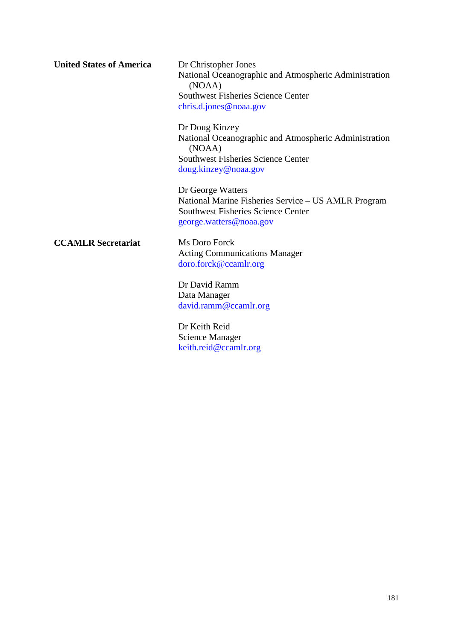| <b>United States of America</b> | Dr Christopher Jones<br>National Oceanographic and Atmospheric Administration<br>(NOAA)<br><b>Southwest Fisheries Science Center</b><br>chris.d.jones@noaa.gov |
|---------------------------------|----------------------------------------------------------------------------------------------------------------------------------------------------------------|
|                                 | Dr Doug Kinzey<br>National Oceanographic and Atmospheric Administration<br>(NOAA)<br><b>Southwest Fisheries Science Center</b><br>doug.kinzey@noaa.gov         |
|                                 | Dr George Watters<br>National Marine Fisheries Service - US AMLR Program<br><b>Southwest Fisheries Science Center</b><br>george.watters@noaa.gov               |
| <b>CCAMLR Secretariat</b>       | Ms Doro Forck<br><b>Acting Communications Manager</b><br>doro.forck@ccamlr.org                                                                                 |
|                                 | Dr David Ramm<br>Data Manager<br>david.ramm@ccamlr.org                                                                                                         |
|                                 | Dr Keith Reid                                                                                                                                                  |

Dr Keith Reid Science Manager [keith.reid@ccamlr.org](mailto:keith.reid@ccamlr.org)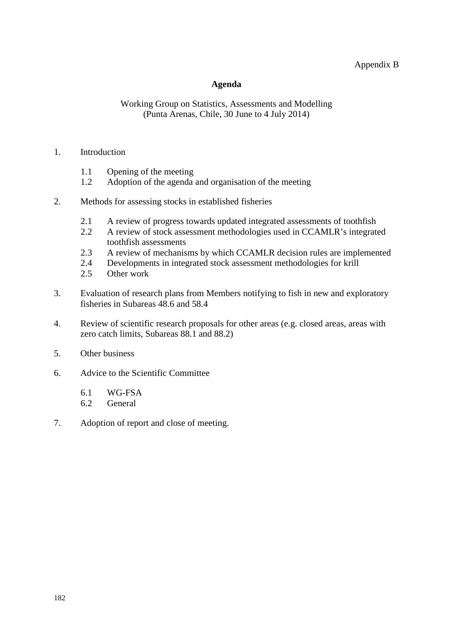# Appendix B

#### **Agenda**

## <span id="page-33-0"></span>Working Group on Statistics, Assessments and Modelling (Punta Arenas, Chile, 30 June to 4 July 2014)

#### 1. Introduction

- 1.1 Opening of the meeting<br>1.2 Adoption of the agenda
- Adoption of the agenda and organisation of the meeting
- 2. Methods for assessing stocks in established fisheries
	- 2.1 A review of progress towards updated integrated assessments of toothfish<br>2.2 A review of stock assessment methodologies used in CCAMLR's integrate
	- 2.2 A review of stock assessment methodologies used in CCAMLR's integrated toothfish assessments
	- 2.3 A review of mechanisms by which CCAMLR decision rules are implemented<br>2.4 Developments in integrated stock assessment methodologies for krill
	- 2.4 Developments in integrated stock assessment methodologies for krill
	- 2.5 Other work
- 3. Evaluation of research plans from Members notifying to fish in new and exploratory fisheries in Subareas 48.6 and 58.4
- 4. Review of scientific research proposals for other areas (e.g. closed areas, areas with zero catch limits, Subareas 88.1 and 88.2)
- 5. Other business
- 6. Advice to the Scientific Committee
	- 6.1 WG-FSA
	- 6.2 General
- 7. Adoption of report and close of meeting.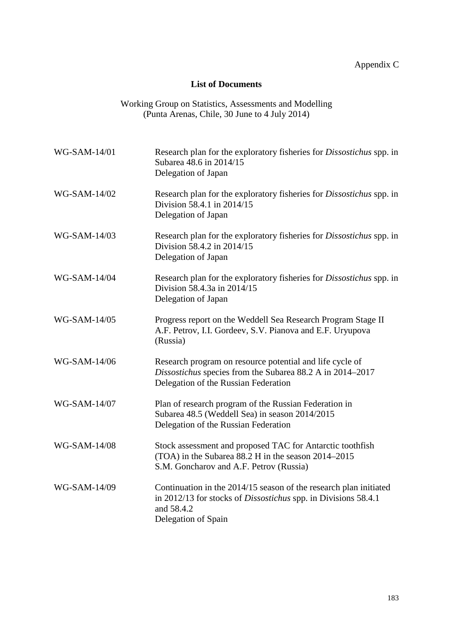# **List of Documents**

| Working Group on Statistics, Assessments and Modelling |  |
|--------------------------------------------------------|--|
| (Punta Arenas, Chile, 30 June to 4 July 2014)          |  |

<span id="page-34-0"></span>

| WG-SAM-14/01 | Research plan for the exploratory fisheries for <i>Dissostichus</i> spp. in<br>Subarea 48.6 in 2014/15<br>Delegation of Japan                                                   |
|--------------|---------------------------------------------------------------------------------------------------------------------------------------------------------------------------------|
| WG-SAM-14/02 | Research plan for the exploratory fisheries for <i>Dissostichus</i> spp. in<br>Division 58.4.1 in 2014/15<br>Delegation of Japan                                                |
| WG-SAM-14/03 | Research plan for the exploratory fisheries for <i>Dissostichus</i> spp. in<br>Division 58.4.2 in 2014/15<br>Delegation of Japan                                                |
| WG-SAM-14/04 | Research plan for the exploratory fisheries for <i>Dissostichus</i> spp. in<br>Division 58.4.3a in 2014/15<br>Delegation of Japan                                               |
| WG-SAM-14/05 | Progress report on the Weddell Sea Research Program Stage II<br>A.F. Petrov, I.I. Gordeev, S.V. Pianova and E.F. Uryupova<br>(Russia)                                           |
| WG-SAM-14/06 | Research program on resource potential and life cycle of<br>Dissostichus species from the Subarea 88.2 A in 2014–2017<br>Delegation of the Russian Federation                   |
| WG-SAM-14/07 | Plan of research program of the Russian Federation in<br>Subarea 48.5 (Weddell Sea) in season 2014/2015<br>Delegation of the Russian Federation                                 |
| WG-SAM-14/08 | Stock assessment and proposed TAC for Antarctic toothfish<br>(TOA) in the Subarea 88.2 H in the season 2014–2015<br>S.M. Goncharov and A.F. Petrov (Russia)                     |
| WG-SAM-14/09 | Continuation in the 2014/15 season of the research plan initiated<br>in 2012/13 for stocks of <i>Dissostichus</i> spp. in Divisions 58.4.1<br>and 58.4.2<br>Delegation of Spain |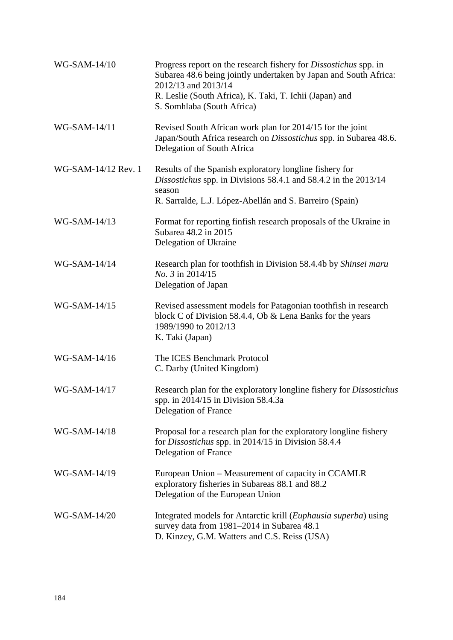| WG-SAM-14/10        | Progress report on the research fishery for <i>Dissostichus</i> spp. in<br>Subarea 48.6 being jointly undertaken by Japan and South Africa:<br>2012/13 and 2013/14<br>R. Leslie (South Africa), K. Taki, T. Ichii (Japan) and<br>S. Somhlaba (South Africa) |
|---------------------|-------------------------------------------------------------------------------------------------------------------------------------------------------------------------------------------------------------------------------------------------------------|
| WG-SAM-14/11        | Revised South African work plan for 2014/15 for the joint<br>Japan/South Africa research on <i>Dissostichus</i> spp. in Subarea 48.6.<br>Delegation of South Africa                                                                                         |
| WG-SAM-14/12 Rev. 1 | Results of the Spanish exploratory longline fishery for<br>Dissostichus spp. in Divisions 58.4.1 and 58.4.2 in the 2013/14<br>season<br>R. Sarralde, L.J. López-Abellán and S. Barreiro (Spain)                                                             |
| WG-SAM-14/13        | Format for reporting finfish research proposals of the Ukraine in<br>Subarea 48.2 in 2015<br>Delegation of Ukraine                                                                                                                                          |
| WG-SAM-14/14        | Research plan for toothfish in Division 58.4.4b by Shinsei maru<br>No. 3 in 2014/15<br>Delegation of Japan                                                                                                                                                  |
| WG-SAM-14/15        | Revised assessment models for Patagonian toothfish in research<br>block C of Division 58.4.4, Ob & Lena Banks for the years<br>1989/1990 to 2012/13<br>K. Taki (Japan)                                                                                      |
| WG-SAM-14/16        | The ICES Benchmark Protocol<br>C. Darby (United Kingdom)                                                                                                                                                                                                    |
| WG-SAM-14/17        | Research plan for the exploratory longline fishery for <i>Dissostichus</i><br>spp. in $2014/15$ in Division 58.4.3a<br>Delegation of France                                                                                                                 |
| WG-SAM-14/18        | Proposal for a research plan for the exploratory longline fishery<br>for Dissostichus spp. in 2014/15 in Division 58.4.4<br>Delegation of France                                                                                                            |
| WG-SAM-14/19        | European Union – Measurement of capacity in CCAMLR<br>exploratory fisheries in Subareas 88.1 and 88.2<br>Delegation of the European Union                                                                                                                   |
| WG-SAM-14/20        | Integrated models for Antarctic krill (Euphausia superba) using<br>survey data from 1981-2014 in Subarea 48.1<br>D. Kinzey, G.M. Watters and C.S. Reiss (USA)                                                                                               |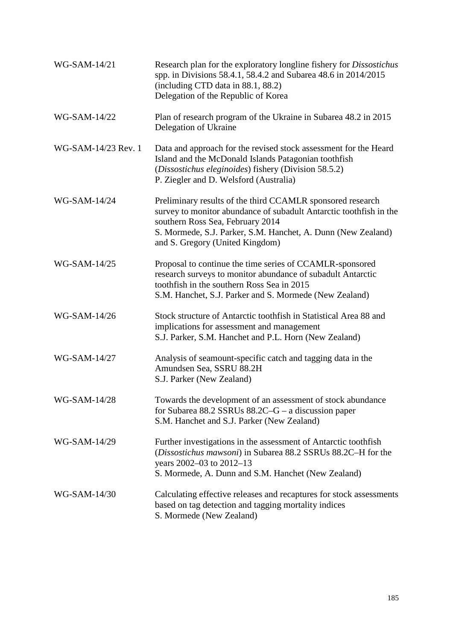| WG-SAM-14/21        | Research plan for the exploratory longline fishery for Dissostichus<br>spp. in Divisions 58.4.1, 58.4.2 and Subarea 48.6 in 2014/2015<br>(including CTD data in 88.1, 88.2)<br>Delegation of the Republic of Korea                                                      |
|---------------------|-------------------------------------------------------------------------------------------------------------------------------------------------------------------------------------------------------------------------------------------------------------------------|
| WG-SAM-14/22        | Plan of research program of the Ukraine in Subarea 48.2 in 2015<br>Delegation of Ukraine                                                                                                                                                                                |
| WG-SAM-14/23 Rev. 1 | Data and approach for the revised stock assessment for the Heard<br>Island and the McDonald Islands Patagonian toothfish<br>(Dissostichus eleginoides) fishery (Division 58.5.2)<br>P. Ziegler and D. Welsford (Australia)                                              |
| WG-SAM-14/24        | Preliminary results of the third CCAMLR sponsored research<br>survey to monitor abundance of subadult Antarctic toothfish in the<br>southern Ross Sea, February 2014<br>S. Mormede, S.J. Parker, S.M. Hanchet, A. Dunn (New Zealand)<br>and S. Gregory (United Kingdom) |
| WG-SAM-14/25        | Proposal to continue the time series of CCAMLR-sponsored<br>research surveys to monitor abundance of subadult Antarctic<br>toothfish in the southern Ross Sea in 2015<br>S.M. Hanchet, S.J. Parker and S. Mormede (New Zealand)                                         |
| WG-SAM-14/26        | Stock structure of Antarctic toothfish in Statistical Area 88 and<br>implications for assessment and management<br>S.J. Parker, S.M. Hanchet and P.L. Horn (New Zealand)                                                                                                |
| WG-SAM-14/27        | Analysis of seamount-specific catch and tagging data in the<br>Amundsen Sea, SSRU 88.2H<br>S.J. Parker (New Zealand)                                                                                                                                                    |
| WG-SAM-14/28        | Towards the development of an assessment of stock abundance<br>for Subarea 88.2 SSRUs $88.2C-G$ – a discussion paper<br>S.M. Hanchet and S.J. Parker (New Zealand)                                                                                                      |
| WG-SAM-14/29        | Further investigations in the assessment of Antarctic toothfish<br>(Dissostichus mawsoni) in Subarea 88.2 SSRUs 88.2C-H for the<br>years 2002-03 to 2012-13<br>S. Mormede, A. Dunn and S.M. Hanchet (New Zealand)                                                       |
| WG-SAM-14/30        | Calculating effective releases and recaptures for stock assessments<br>based on tag detection and tagging mortality indices<br>S. Mormede (New Zealand)                                                                                                                 |